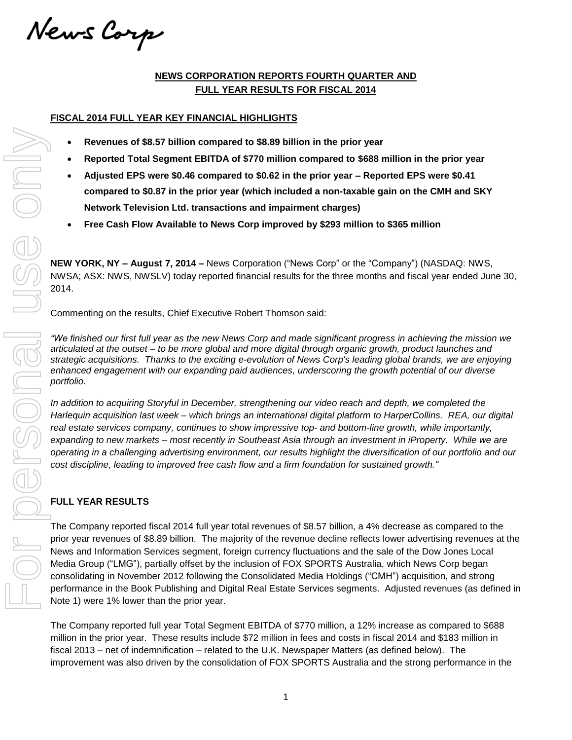News Corp

## **NEWS CORPORATION REPORTS FOURTH QUARTER AND FULL YEAR RESULTS FOR FISCAL 2014**

### **FISCAL 2014 FULL YEAR KEY FINANCIAL HIGHLIGHTS**

- **Revenues of \$8.57 billion compared to \$8.89 billion in the prior year**
- **Reported Total Segment EBITDA of \$770 million compared to \$688 million in the prior year**
- **Adjusted EPS were \$0.46 compared to \$0.62 in the prior year – Reported EPS were \$0.41 compared to \$0.87 in the prior year (which included a non-taxable gain on the CMH and SKY Network Television Ltd. transactions and impairment charges)**
- **Free Cash Flow Available to News Corp improved by \$293 million to \$365 million**

**NEW YORK, NY – August 7, 2014 –** News Corporation ("News Corp" or the "Company") (NASDAQ: NWS, NWSA; ASX: NWS, NWSLV) today reported financial results for the three months and fiscal year ended June 30, 2014.

Commenting on the results, Chief Executive Robert Thomson said:

"We finished our first full year as the new News Corp and made significant progress in achieving the mission we articulated at the outset – to be more global and more digital through organic growth, product launches and *strategic acquisitions. Thanks to the exciting e-evolution of News Corp's leading global brands, we are enjoying enhanced engagement with our expanding paid audiences, underscoring the growth potential of our diverse portfolio.*

*In addition to acquiring Storyful in December, strengthening our video reach and depth, we completed the Harlequin acquisition last week – which brings an international digital platform to HarperCollins. REA, our digital real estate services company, continues to show impressive top- and bottom-line growth, while importantly,* expanding to new markets – most recently in Southeast Asia through an investment in iProperty. While we are operating in a challenging advertising environment, our results highlight the diversification of our portfolio and our *cost discipline, leading to improved free cash flow and a firm foundation for sustained growth."*

## **FULL YEAR RESULTS**

The Company reported fiscal 2014 full year total revenues of \$8.57 billion, a 4% decrease as compared to the prior year revenues of \$8.89 billion. The majority of the revenue decline reflects lower advertising revenues at the News and Information Services segment, foreign currency fluctuations and the sale of the Dow Jones Local Media Group ("LMG"), partially offset by the inclusion of FOX SPORTS Australia, which News Corp began consolidating in November 2012 following the Consolidated Media Holdings ("CMH") acquisition, and strong performance in the Book Publishing and Digital Real Estate Services segments. Adjusted revenues (as defined in Note 1) were 1% lower than the prior year. improvement was constant through the consolidation of FOX consideration of FOX consolidation of FOX consolidation of FOX constants and the constant of FOX Consolidation of FOX Consolidation of FOX SPORTS AUSTRALIA and SKY

The Company reported full year Total Segment EBITDA of \$770 million, a 12% increase as compared to \$688 million in the prior year. These results include \$72 million in fees and costs in fiscal 2014 and \$183 million in fiscal 2013 – net of indemnification – related to the U.K. Newspaper Matters (as defined below). The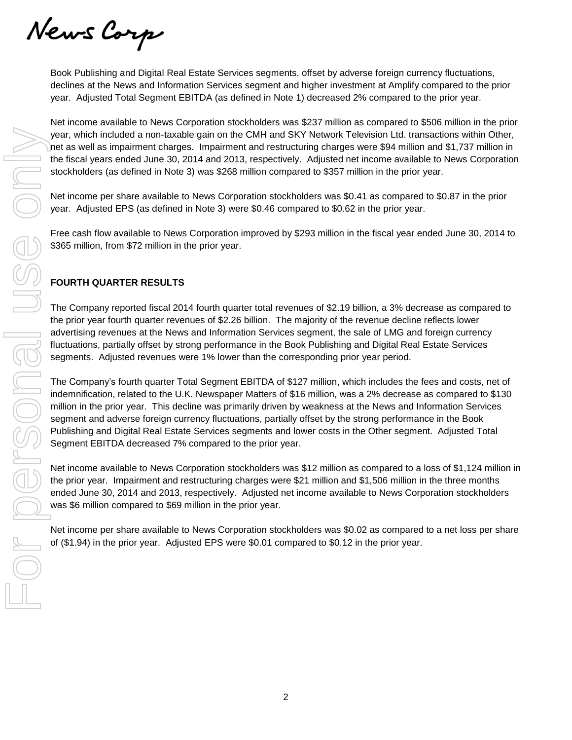News Corp

Book Publishing and Digital Real Estate Services segments, offset by adverse foreign currency fluctuations, declines at the News and Information Services segment and higher investment at Amplify compared to the prior year. Adjusted Total Segment EBITDA (as defined in Note 1) decreased 2% compared to the prior year.

Net income available to News Corporation stockholders was \$237 million as compared to \$506 million in the prior year, which included a non-taxable gain on the CMH and SKY Network Television Ltd. transactions within Other, net as well as impairment charges. Impairment and restructuring charges were \$94 million and \$1,737 million in the fiscal years ended June 30, 2014 and 2013, respectively. Adjusted net income available to News Corporation stockholders (as defined in Note 3) was \$268 million compared to \$357 million in the prior year.

Net income per share available to News Corporation stockholders was \$0.41 as compared to \$0.87 in the prior year. Adjusted EPS (as defined in Note 3) were \$0.46 compared to \$0.62 in the prior year.

Free cash flow available to News Corporation improved by \$293 million in the fiscal year ended June 30, 2014 to \$365 million, from \$72 million in the prior year.

## **FOURTH QUARTER RESULTS**

The Company reported fiscal 2014 fourth quarter total revenues of \$2.19 billion, a 3% decrease as compared to the prior year fourth quarter revenues of \$2.26 billion. The majority of the revenue decline reflects lower advertising revenues at the News and Information Services segment, the sale of LMG and foreign currency fluctuations, partially offset by strong performance in the Book Publishing and Digital Real Estate Services segments. Adjusted revenues were 1% lower than the corresponding prior year period.

The Company's fourth quarter Total Segment EBITDA of \$127 million, which includes the fees and costs, net of indemnification, related to the U.K. Newspaper Matters of \$16 million, was a 2% decrease as compared to \$130 million in the prior year. This decline was primarily driven by weakness at the News and Information Services segment and adverse foreign currency fluctuations, partially offset by the strong performance in the Book Publishing and Digital Real Estate Services segments and lower costs in the Other segment. Adjusted Total Segment EBITDA decreased 7% compared to the prior year. of the individed a non-laxable gain on the CMH and SKY Neburch Television Ltd. transformations and the compare step and buttom the forest were \$94 million the fixed was especial June 200, 2014 and 2013, respectively. Adjus

Net income available to News Corporation stockholders was \$12 million as compared to a loss of \$1,124 million in the prior year. Impairment and restructuring charges were \$21 million and \$1,506 million in the three months ended June 30, 2014 and 2013, respectively. Adjusted net income available to News Corporation stockholders was \$6 million compared to \$69 million in the prior year.

Net income per share available to News Corporation stockholders was \$0.02 as compared to a net loss per share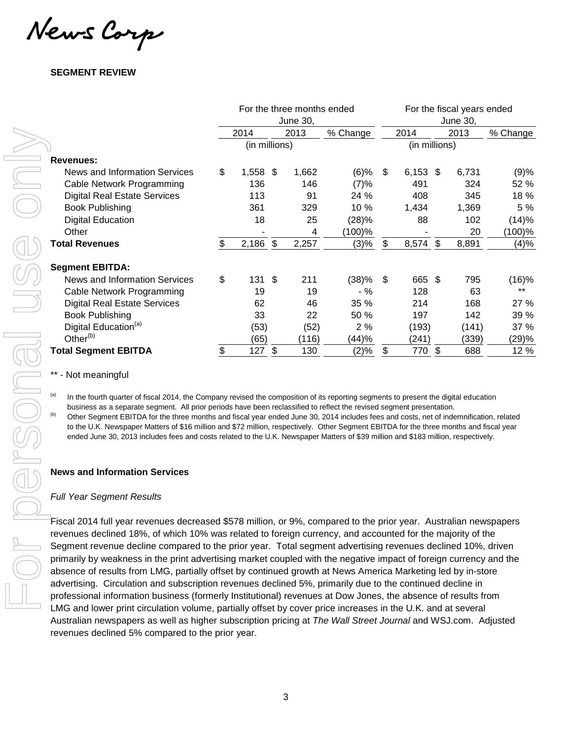News Corp

## **SEGMENT REVIEW**

|                                                                                                                                                                                                                                                                                                                                                                                                                                                                                                                                                                                                                                                                                                        | For the three months ended<br>June 30, |    |              |                 |                            | For the fiscal years ended<br>June 30, |      |              |              |  |  |
|--------------------------------------------------------------------------------------------------------------------------------------------------------------------------------------------------------------------------------------------------------------------------------------------------------------------------------------------------------------------------------------------------------------------------------------------------------------------------------------------------------------------------------------------------------------------------------------------------------------------------------------------------------------------------------------------------------|----------------------------------------|----|--------------|-----------------|----------------------------|----------------------------------------|------|--------------|--------------|--|--|
|                                                                                                                                                                                                                                                                                                                                                                                                                                                                                                                                                                                                                                                                                                        | 2014                                   |    | 2013         | % Change        |                            | 2014                                   | 2013 |              | % Change     |  |  |
|                                                                                                                                                                                                                                                                                                                                                                                                                                                                                                                                                                                                                                                                                                        | (in millions)                          |    |              |                 |                            | (in millions)                          |      |              |              |  |  |
| <b>Revenues:</b>                                                                                                                                                                                                                                                                                                                                                                                                                                                                                                                                                                                                                                                                                       |                                        |    |              |                 |                            |                                        |      |              |              |  |  |
| News and Information Services<br>Cable Network Programming                                                                                                                                                                                                                                                                                                                                                                                                                                                                                                                                                                                                                                             | \$<br>1,558 \$<br>136                  |    | 1,662<br>146 | $(6)$ %<br>(7)% | \$                         | $6,153$ \$<br>491                      |      | 6,731<br>324 | (9)%<br>52 % |  |  |
| <b>Digital Real Estate Services</b>                                                                                                                                                                                                                                                                                                                                                                                                                                                                                                                                                                                                                                                                    | 113                                    |    | 91           | 24 %            |                            | 408                                    |      | 345          | 18 %         |  |  |
| <b>Book Publishing</b>                                                                                                                                                                                                                                                                                                                                                                                                                                                                                                                                                                                                                                                                                 | 361                                    |    | 329          | 10 %            |                            | 1,434                                  |      | 1,369        | 5 %          |  |  |
| <b>Digital Education</b>                                                                                                                                                                                                                                                                                                                                                                                                                                                                                                                                                                                                                                                                               | 18                                     |    | 25           | (28)%           |                            | 88                                     |      | 102          | (14)%        |  |  |
| Other                                                                                                                                                                                                                                                                                                                                                                                                                                                                                                                                                                                                                                                                                                  |                                        |    | 4            | (100)%          |                            |                                        |      | 20           | $(100)$ %    |  |  |
| <b>Total Revenues</b>                                                                                                                                                                                                                                                                                                                                                                                                                                                                                                                                                                                                                                                                                  | \$<br>$2,186$ \$                       |    | 2,257        | (3)%            | \$                         | 8,574 \$                               |      | 8,891        | (4)%         |  |  |
| <b>Segment EBITDA:</b>                                                                                                                                                                                                                                                                                                                                                                                                                                                                                                                                                                                                                                                                                 |                                        |    |              |                 |                            |                                        |      |              |              |  |  |
| News and Information Services                                                                                                                                                                                                                                                                                                                                                                                                                                                                                                                                                                                                                                                                          | \$<br>131                              | \$ | 211          | (38)%           | \$                         | 665 \$                                 |      | 795          | (16)%        |  |  |
| Cable Network Programming                                                                                                                                                                                                                                                                                                                                                                                                                                                                                                                                                                                                                                                                              | 19                                     |    | 19           | $-$ %           |                            | 128                                    |      | 63           | $***$        |  |  |
| <b>Digital Real Estate Services</b>                                                                                                                                                                                                                                                                                                                                                                                                                                                                                                                                                                                                                                                                    | 62                                     |    | 46           | 35 %            |                            | 214                                    |      | 168          | 27 %         |  |  |
| <b>Book Publishing</b>                                                                                                                                                                                                                                                                                                                                                                                                                                                                                                                                                                                                                                                                                 | 33                                     |    | 22           | 50 %            |                            | 197                                    |      | 142          | 39 %         |  |  |
| Digital Education <sup>(a)</sup>                                                                                                                                                                                                                                                                                                                                                                                                                                                                                                                                                                                                                                                                       | (53)                                   |    | (52)         | 2%              |                            | (193)                                  |      | (141)        | 37 %         |  |  |
| Other <sup>(b)</sup>                                                                                                                                                                                                                                                                                                                                                                                                                                                                                                                                                                                                                                                                                   | (65)                                   |    | (116)        | (44)%           |                            | (241)                                  |      | (339)        | (29)%        |  |  |
| <b>Total Segment EBITDA</b>                                                                                                                                                                                                                                                                                                                                                                                                                                                                                                                                                                                                                                                                            | \$<br>$127$ \$                         |    | 130          | (2)%            | $\boldsymbol{\mathsf{\$}}$ | 770 \$                                 |      | 688          | 12 %         |  |  |
| - Not meaningful                                                                                                                                                                                                                                                                                                                                                                                                                                                                                                                                                                                                                                                                                       |                                        |    |              |                 |                            |                                        |      |              |              |  |  |
| (a)<br>In the fourth quarter of fiscal 2014, the Company revised the composition of its reporting segments to present the digital education<br>business as a separate segment. All prior periods have been reclassified to reflect the revised segment presentation.<br>(b)<br>Other Segment EBITDA for the three months and fiscal year ended June 30, 2014 includes fees and costs, net of indemnification, related<br>to the U.K. Newspaper Matters of \$16 million and \$72 million, respectively. Other Segment EBITDA for the three months and fiscal year<br>ended June 30, 2013 includes fees and costs related to the U.K. Newspaper Matters of \$39 million and \$183 million, respectively. |                                        |    |              |                 |                            |                                        |      |              |              |  |  |
| <b>News and Information Services</b>                                                                                                                                                                                                                                                                                                                                                                                                                                                                                                                                                                                                                                                                   |                                        |    |              |                 |                            |                                        |      |              |              |  |  |
| <b>Full Year Segment Results</b>                                                                                                                                                                                                                                                                                                                                                                                                                                                                                                                                                                                                                                                                       |                                        |    |              |                 |                            |                                        |      |              |              |  |  |
| Fiscal 2014 full year revenues decreased \$578 million, or 9%, compared to the prior year. Australian newspapers<br>revenues declined 18%, of which 10% was related to foreign currency, and accounted for the majority of the                                                                                                                                                                                                                                                                                                                                                                                                                                                                         |                                        |    |              |                 |                            |                                        |      |              |              |  |  |
| Segment revenue decline compared to the prior year. Total segment advertising revenues declined 10%, driven                                                                                                                                                                                                                                                                                                                                                                                                                                                                                                                                                                                            |                                        |    |              |                 |                            |                                        |      |              |              |  |  |
| primarily by weakness in the print advertising market coupled with the negative impact of foreign currency and the                                                                                                                                                                                                                                                                                                                                                                                                                                                                                                                                                                                     |                                        |    |              |                 |                            |                                        |      |              |              |  |  |
| absence of results from LMG, partially offset by continued growth at News America Marketing led by in-store                                                                                                                                                                                                                                                                                                                                                                                                                                                                                                                                                                                            |                                        |    |              |                 |                            |                                        |      |              |              |  |  |
| advertising. Circulation and subscription revenues declined 5%, primarily due to the continued decline in                                                                                                                                                                                                                                                                                                                                                                                                                                                                                                                                                                                              |                                        |    |              |                 |                            |                                        |      |              |              |  |  |
| professional information business (formerly Institutional) revenues at Dow Jones, the absence of results from                                                                                                                                                                                                                                                                                                                                                                                                                                                                                                                                                                                          |                                        |    |              |                 |                            |                                        |      |              |              |  |  |
|                                                                                                                                                                                                                                                                                                                                                                                                                                                                                                                                                                                                                                                                                                        |                                        |    |              |                 |                            |                                        |      |              |              |  |  |
| LMG and lower print circulation volume, partially offset by cover price increases in the U.K. and at several                                                                                                                                                                                                                                                                                                                                                                                                                                                                                                                                                                                           |                                        |    |              |                 |                            |                                        |      |              |              |  |  |
| Australian newspapers as well as higher subscription pricing at The Wall Street Journal and WSJ.com. Adjusted<br>revenues declined 5% compared to the prior year.                                                                                                                                                                                                                                                                                                                                                                                                                                                                                                                                      |                                        |    |              |                 |                            |                                        |      |              |              |  |  |

### - Not meaningful

## **News and Information Services**

#### *Full Year Segment Results*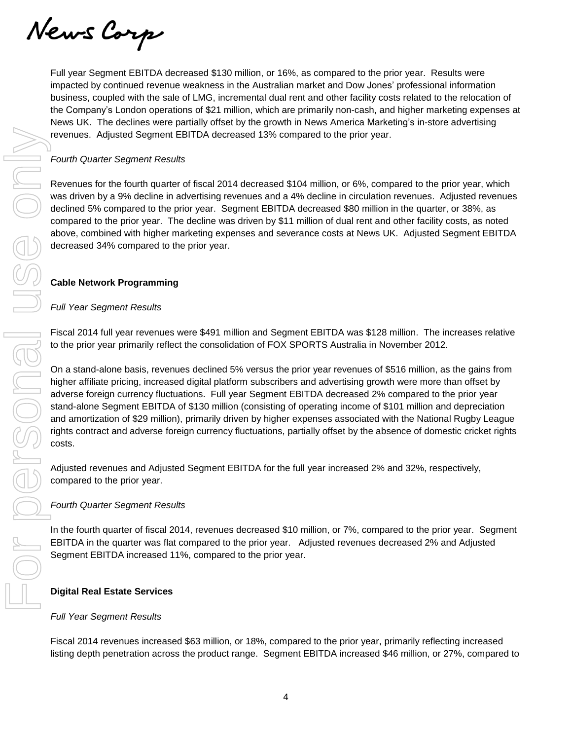News Corp

Full year Segment EBITDA decreased \$130 million, or 16%, as compared to the prior year. Results were impacted by continued revenue weakness in the Australian market and Dow Jones' professional information business, coupled with the sale of LMG, incremental dual rent and other facility costs related to the relocation of the Company's London operations of \$21 million, which are primarily non-cash, and higher marketing expenses at News UK. The declines were partially offset by the growth in News America Marketing's in-store advertising revenues. Adjusted Segment EBITDA decreased 13% compared to the prior year.

## *Fourth Quarter Segment Results*

Revenues for the fourth quarter of fiscal 2014 decreased \$104 million, or 6%, compared to the prior year, which was driven by a 9% decline in advertising revenues and a 4% decline in circulation revenues. Adjusted revenues declined 5% compared to the prior year. Segment EBITDA decreased \$80 million in the quarter, or 38%, as compared to the prior year. The decline was driven by \$11 million of dual rent and other facility costs, as noted above, combined with higher marketing expenses and severance costs at News UK. Adjusted Segment EBITDA decreased 34% compared to the prior year.

## **Cable Network Programming**

## *Full Year Segment Results*

Fiscal 2014 full year revenues were \$491 million and Segment EBITDA was \$128 million. The increases relative to the prior year primarily reflect the consolidation of FOX SPORTS Australia in November 2012.

On a stand-alone basis, revenues declined 5% versus the prior year revenues of \$516 million, as the gains from higher affiliate pricing, increased digital platform subscribers and advertising growth were more than offset by adverse foreign currency fluctuations. Full year Segment EBITDA decreased 2% compared to the prior year stand-alone Segment EBITDA of \$130 million (consisting of operating income of \$101 million and depreciation and amortization of \$29 million), primarily driven by higher expenses associated with the National Rugby League rights contract and adverse foreign currency fluctuations, partially offset by the absence of domestic cricket rights costs. listing of the product Segment EBITDA decreased \$4% compared to the prior year.<br>
From the decrease for the fourth quarter of fiscal 2014 decreased \$104 million, or 6%, compared to the prior year.<br>
Revenues for 50 function

Adjusted revenues and Adjusted Segment EBITDA for the full year increased 2% and 32%, respectively, compared to the prior year.

## *Fourth Quarter Segment Results*

In the fourth quarter of fiscal 2014, revenues decreased \$10 million, or 7%, compared to the prior year. Segment EBITDA in the quarter was flat compared to the prior year. Adjusted revenues decreased 2% and Adjusted Segment EBITDA increased 11%, compared to the prior year.

## **Digital Real Estate Services**

## *Full Year Segment Results*

Fiscal 2014 revenues increased \$63 million, or 18%, compared to the prior year, primarily reflecting increased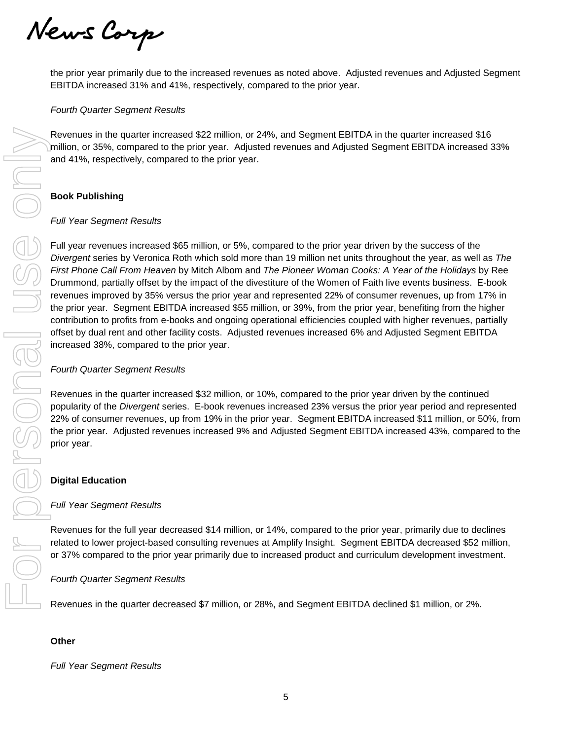News Corp

the prior year primarily due to the increased revenues as noted above. Adjusted revenues and Adjusted Segment EBITDA increased 31% and 41%, respectively, compared to the prior year.

### *Fourth Quarter Segment Results*

Revenues in the quarter increased \$22 million, or 24%, and Segment EBITDA in the quarter increased \$16 million, or 35%, compared to the prior year. Adjusted revenues and Adjusted Segment EBITDA increased 33% and 41%, respectively, compared to the prior year.

## **Book Publishing**

#### *Full Year Segment Results*

Full year revenues increased \$65 million, or 5%, compared to the prior year driven by the success of the *Divergent* series by Veronica Roth which sold more than 19 million net units throughout the year, as well as *The First Phone Call From Heaven* by Mitch Albom and *The Pioneer Woman Cooks: A Year of the Holidays* by Ree Drummond, partially offset by the impact of the divestiture of the Women of Faith live events business. E-book revenues improved by 35% versus the prior year and represented 22% of consumer revenues, up from 17% in the prior year. Segment EBITDA increased \$55 million, or 39%, from the prior year, benefiting from the higher contribution to profits from e-books and ongoing operational efficiencies coupled with higher revenues, partially offset by dual rent and other facility costs. Adjusted revenues increased 6% and Adjusted Segment EBITDA increased 38%, compared to the prior year.

#### *Fourth Quarter Segment Results*

Revenues in the quarter increased \$32 million, or 10%, compared to the prior year driven by the continued popularity of the *Divergent* series. E-book revenues increased 23% versus the prior year period and represented 22% of consumer revenues, up from 19% in the prior year. Segment EBITDA increased \$11 million, or 50%, from the prior year. Adjusted revenues increased 9% and Adjusted Segment EBITDA increased 43%, compared to the prior year.

## **Digital Education**

#### *Full Year Segment Results*

Revenues for the full year decreased \$14 million, or 14%, compared to the prior year, primarily due to declines related to lower project-based consulting revenues at Amplify Insight. Segment EBITDA decreased \$52 million, or 37% compared to the prior year primarily due to increased product and curriculum development investment.

#### *Fourth Quarter Segment Results*

Revenues in the quarter decreased \$7 million, or 28%, and Segment EBITDA declined \$1 million, or 2%.

#### **Other**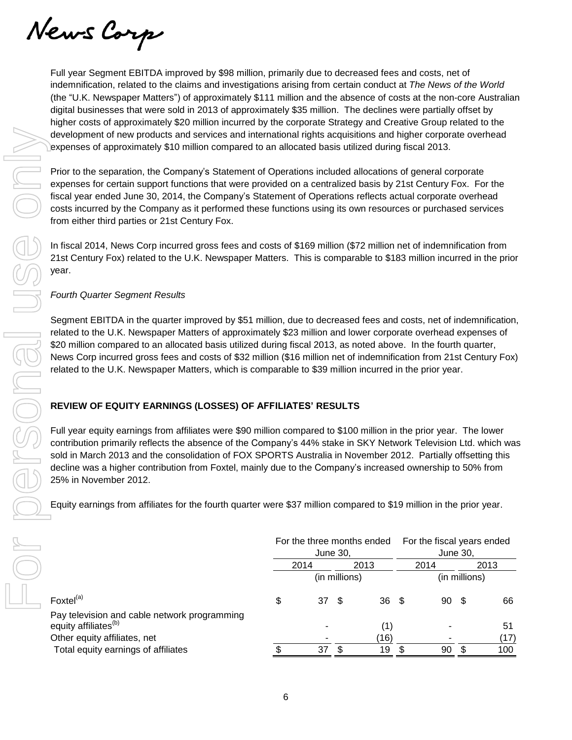News Corp

Full year Segment EBITDA improved by \$98 million, primarily due to decreased fees and costs, net of indemnification, related to the claims and investigations arising from certain conduct at *The News of the World* (the "U.K. Newspaper Matters") of approximately \$111 million and the absence of costs at the non-core Australian digital businesses that were sold in 2013 of approximately \$35 million. The declines were partially offset by higher costs of approximately \$20 million incurred by the corporate Strategy and Creative Group related to the development of new products and services and international rights acquisitions and higher corporate overhead expenses of approximately \$10 million compared to an allocated basis utilized during fiscal 2013.

Prior to the separation, the Company's Statement of Operations included allocations of general corporate expenses for certain support functions that were provided on a centralized basis by 21st Century Fox. For the fiscal year ended June 30, 2014, the Company's Statement of Operations reflects actual corporate overhead costs incurred by the Company as it performed these functions using its own resources or purchased services from either third parties or 21st Century Fox.

In fiscal 2014, News Corp incurred gross fees and costs of \$169 million (\$72 million net of indemnification from 21st Century Fox) related to the U.K. Newspaper Matters. This is comparable to \$183 million incurred in the prior year.

## *Fourth Quarter Segment Results*

Segment EBITDA in the quarter improved by \$51 million, due to decreased fees and costs, net of indemnification, related to the U.K. Newspaper Matters of approximately \$23 million and lower corporate overhead expenses of \$20 million compared to an allocated basis utilized during fiscal 2013, as noted above. In the fourth quarter, News Corp incurred gross fees and costs of \$32 million (\$16 million net of indemnification from 21st Century Fox) related to the U.K. Newspaper Matters, which is comparable to \$39 million incurred in the prior year.

## **REVIEW OF EQUITY EARNINGS (LOSSES) OF AFFILIATES' RESULTS**

Full year equity earnings from affiliates were \$90 million compared to \$100 million in the prior year. The lower contribution primarily reflects the absence of the Company's 44% stake in SKY Network Television Ltd. which was sold in March 2013 and the consolidation of FOX SPORTS Australia in November 2012. Partially offsetting this decline was a higher contribution from Foxtel, mainly due to the Company's increased ownership to 50% from 25% in November 2012.

Equity earnings from affiliates for the fourth quarter were \$37 million compared to \$19 million in the prior year.

|                                                                                  |          |       |               | For the three months ended |      |          | For the fiscal years ended |      |  |
|----------------------------------------------------------------------------------|----------|-------|---------------|----------------------------|------|----------|----------------------------|------|--|
|                                                                                  | June 30, |       |               |                            |      | June 30, |                            |      |  |
|                                                                                  | 2014     |       |               | 2013                       | 2014 |          |                            | 2013 |  |
|                                                                                  |          |       | (in millions) |                            |      |          | (in millions)              |      |  |
| Foxtel <sup>(a)</sup>                                                            | \$       | 37 \$ |               | $36 \quad$                 |      | 90       | - \$                       | 66   |  |
| Pay television and cable network programming<br>equity affiliates <sup>(b)</sup> |          |       |               |                            |      |          |                            | 51   |  |
| Other equity affiliates, net                                                     |          |       |               | (16)                       |      |          |                            | (17) |  |
| Total equity earnings of affiliates                                              |          | 37    |               | 19                         |      | 90       |                            | 100  |  |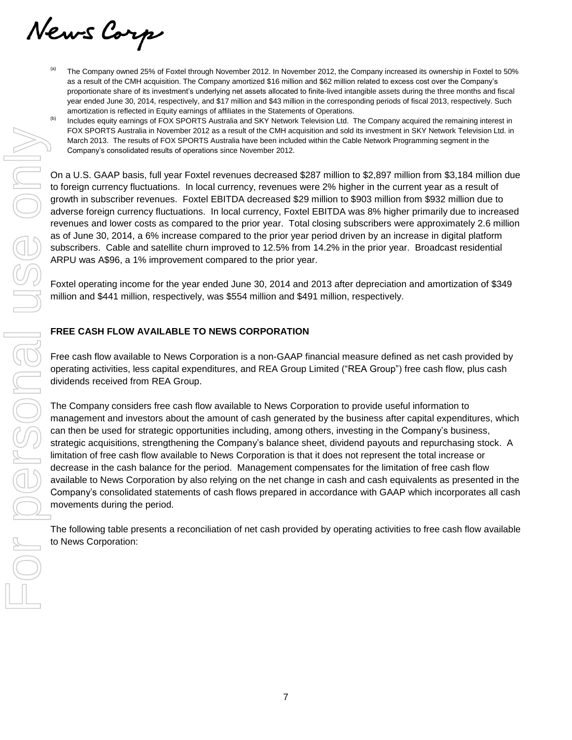News Corp

- $\frac{1}{10}$  The Company owned 25% of Foxtel through November 2012. In November 2012, the Company increased its ownership in Foxtel to 50% as a result of the CMH acquisition. The Company amortized \$16 million and \$62 million related to excess cost over the Company's proportionate share of its investment's underlying net assets allocated to finite-lived intangible assets during the three months and fiscal year ended June 30, 2014, respectively, and \$17 million and \$43 million in the corresponding periods of fiscal 2013, respectively. Such amortization is reflected in Equity earnings of affiliates in the Statements of Operations.
- Includes equity earnings of FOX SPORTS Australia and SKY Network Television Ltd. The Company acquired the remaining interest in FOX SPORTS Australia in November 2012 as a result of the CMH acquisition and sold its investment in SKY Network Television Ltd. in March 2013. The results of FOX SPORTS Australia have been included within the Cable Network Programming segment in the Company's consolidated results of operations since November 2012.

On a U.S. GAAP basis, full year Foxtel revenues decreased \$287 million to \$2,897 million from \$3,184 million due to foreign currency fluctuations. In local currency, revenues were 2% higher in the current year as a result of growth in subscriber revenues. Foxtel EBITDA decreased \$29 million to \$903 million from \$932 million due to adverse foreign currency fluctuations. In local currency, Foxtel EBITDA was 8% higher primarily due to increased revenues and lower costs as compared to the prior year. Total closing subscribers were approximately 2.6 million as of June 30, 2014, a 6% increase compared to the prior year period driven by an increase in digital platform subscribers. Cable and satellite churn improved to 12.5% from 14.2% in the prior year. Broadcast residential ARPU was A\$96, a 1% improvement compared to the prior year.

Foxtel operating income for the year ended June 30, 2014 and 2013 after depreciation and amortization of \$349 million and \$441 million, respectively, was \$554 million and \$491 million, respectively.

## **FREE CASH FLOW AVAILABLE TO NEWS CORPORATION**

Free cash flow available to News Corporation is a non-GAAP financial measure defined as net cash provided by operating activities, less capital expenditures, and REA Group Limited ("REA Group") free cash flow, plus cash dividends received from REA Group.

The Company considers free cash flow available to News Corporation to provide useful information to management and investors about the amount of cash generated by the business after capital expenditures, which can then be used for strategic opportunities including, among others, investing in the Company's business, strategic acquisitions, strengthening the Company's balance sheet, dividend payouts and repurchasing stock. A limitation of free cash flow available to News Corporation is that it does not represent the total increase or decrease in the cash balance for the period. Management compensates for the limitation of free cash flow available to News Corporation by also relying on the net change in cash and cash equivalents as presented in the Company's consolidated statements of cash flows prepared in accordance with GAAP which incorporates all cash movements during the period.

The following table presents a reconciliation of net cash provided by operating activities to free cash flow available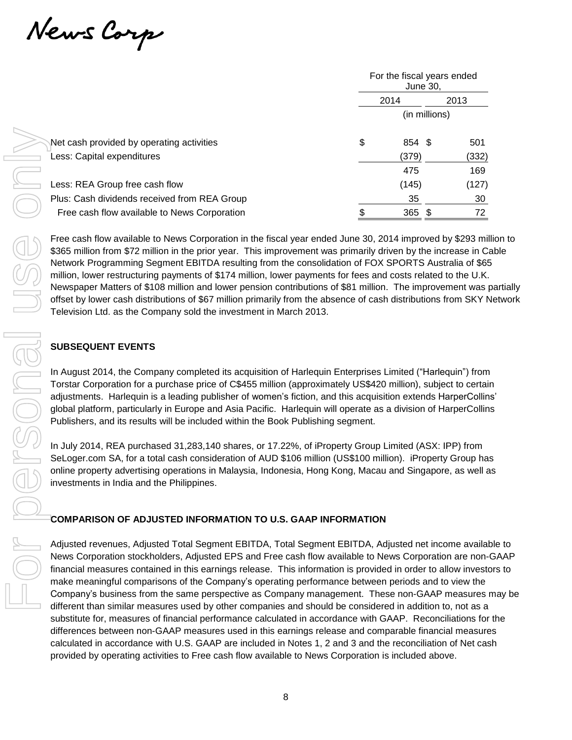News Corp

|                                              | For the fiscal years ended<br>June 30. |  |       |  |  |  |  |
|----------------------------------------------|----------------------------------------|--|-------|--|--|--|--|
|                                              | 2014                                   |  | 2013  |  |  |  |  |
|                                              | (in millions)                          |  |       |  |  |  |  |
| Net cash provided by operating activities    | \$<br>854 \$                           |  | 501   |  |  |  |  |
| Less: Capital expenditures                   | (379)                                  |  | (332) |  |  |  |  |
|                                              | 475                                    |  | 169   |  |  |  |  |
| Less: REA Group free cash flow               | (145)                                  |  | (127) |  |  |  |  |
| Plus: Cash dividends received from REA Group | 35                                     |  | 30    |  |  |  |  |
| Free cash flow available to News Corporation | 365 \$                                 |  | 72    |  |  |  |  |

Free cash flow available to News Corporation in the fiscal year ended June 30, 2014 improved by \$293 million to \$365 million from \$72 million in the prior year. This improvement was primarily driven by the increase in Cable Network Programming Segment EBITDA resulting from the consolidation of FOX SPORTS Australia of \$65 million, lower restructuring payments of \$174 million, lower payments for fees and costs related to the U.K. Newspaper Matters of \$108 million and lower pension contributions of \$81 million. The improvement was partially offset by lower cash distributions of \$67 million primarily from the absence of cash distributions from SKY Network Television Ltd. as the Company sold the investment in March 2013.

## **SUBSEQUENT EVENTS**

In August 2014, the Company completed its acquisition of Harlequin Enterprises Limited ("Harlequin") from Torstar Corporation for a purchase price of C\$455 million (approximately US\$420 million), subject to certain adjustments. Harlequin is a leading publisher of women's fiction, and this acquisition extends HarperCollins' global platform, particularly in Europe and Asia Pacific. Harlequin will operate as a division of HarperCollins Publishers, and its results will be included within the Book Publishing segment.

In July 2014, REA purchased 31,283,140 shares, or 17.22%, of iProperty Group Limited (ASX: IPP) from SeLoger.com SA, for a total cash consideration of AUD \$106 million (US\$100 million). iProperty Group has online property advertising operations in Malaysia, Indonesia, Hong Kong, Macau and Singapore, as well as investments in India and the Philippines.

## **COMPARISON OF ADJUSTED INFORMATION TO U.S. GAAP INFORMATION**

Adjusted revenues, Adjusted Total Segment EBITDA, Total Segment EBITDA, Adjusted net income available to News Corporation stockholders, Adjusted EPS and Free cash flow available to News Corporation are non-GAAP financial measures contained in this earnings release. This information is provided in order to allow investors to make meaningful comparisons of the Company's operating performance between periods and to view the Company's business from the same perspective as Company management. These non-GAAP measures may be different than similar measures used by other companies and should be considered in addition to, not as a substitute for, measures of financial performance calculated in accordance with GAAP. Reconciliations for the differences between non-GAAP measures used in this earnings release and comparable financial measures calculated in accordance with U.S. GAAP are included in Notes 1, 2 and 3 and the reconciliation of Net cash Net cash provided by operating activities  $\frac{5}{4}$  ESA  $\frac{(379)}{475}$ <br>
Leas. Capital expeditions received from REA Group<br>
Free cash flow available to News Corporation<br>
Free cash flow available to News Corporation<br>
Free c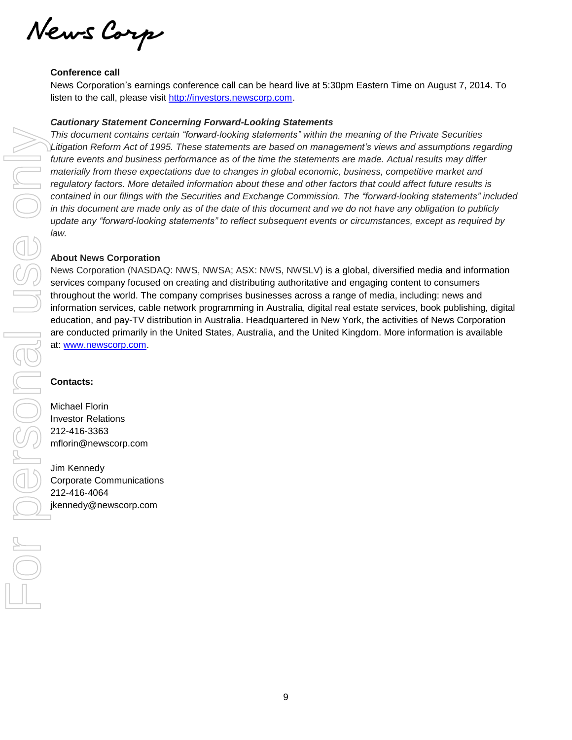News Corp

### **Conference call**

News Corporation's earnings conference call can be heard live at 5:30pm Eastern Time on August 7, 2014. To listen to the call, please visit [http://investors.newscorp.com.](http://investors.newscorp.com/)

### *Cautionary Statement Concerning Forward-Looking Statements*

*This document contains certain "forward-looking statements" within the meaning of the Private Securities Litigation Reform Act of 1995. These statements are based on management's views and assumptions regarding future events and business performance as of the time the statements are made. Actual results may differ materially from these expectations due to changes in global economic, business, competitive market and regulatory factors. More detailed information about these and other factors that could affect future results is contained in our filings with the Securities and Exchange Commission. The "forward-looking statements" included* in this document are made only as of the date of this document and we do not have any obligation to publicly *update any "forward-looking statements" to reflect subsequent events or circumstances, except as required by law.*

### **About News Corporation**

News Corporation (NASDAQ: NWS, NWSA; ASX: NWS, NWSLV) is a global, diversified media and information services company focused on creating and distributing authoritative and engaging content to consumers throughout the world. The company comprises businesses across a range of media, including: news and information services, cable network programming in Australia, digital real estate services, book publishing, digital education, and pay-TV distribution in Australia. Headquartered in New York, the activities of News Corporation are conducted primarily in the United States, Australia, and the United Kingdom. More information is available at: [www.newscorp.com.](http://www.newscorp.com/)

#### **Contacts:**

Michael Florin Investor Relations 212-416-3363 mflorin@newscorp.com

Jim Kennedy Corporate Communications 212-416-4064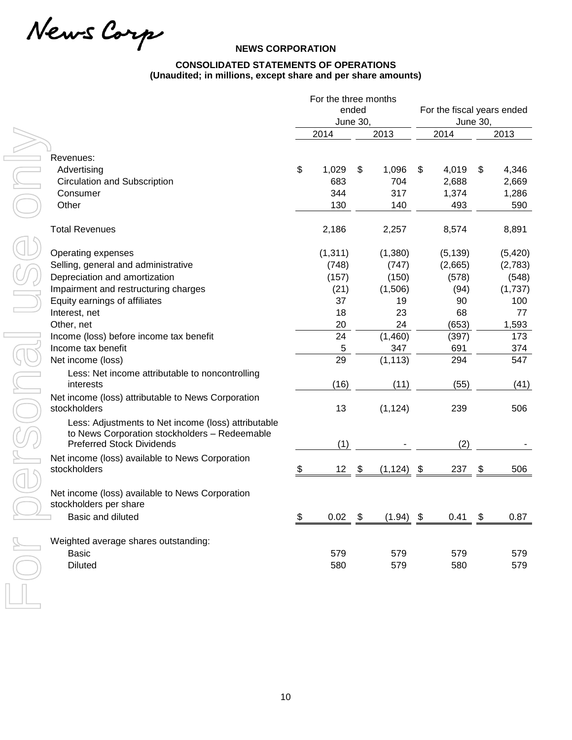News Carp

## **NEWS CORPORATION**

## **CONSOLIDATED STATEMENTS OF OPERATIONS (Unaudited; in millions, except share and per share amounts)**

|                                                                                                                                          | For the three months  |       |               |             |                            |          |
|------------------------------------------------------------------------------------------------------------------------------------------|-----------------------|-------|---------------|-------------|----------------------------|----------|
|                                                                                                                                          |                       | ended |               |             | For the fiscal years ended |          |
|                                                                                                                                          | <b>June 30,</b>       |       |               |             | <b>June 30,</b>            |          |
|                                                                                                                                          | 2014                  |       | 2013          | 2014        |                            | 2013     |
|                                                                                                                                          |                       |       |               |             |                            |          |
| Revenues:                                                                                                                                |                       |       |               |             |                            |          |
| Advertising                                                                                                                              | \$<br>1,029           | \$    | 1,096         | \$<br>4,019 | \$                         | 4,346    |
| <b>Circulation and Subscription</b>                                                                                                      | 683                   |       | 704           | 2,688       |                            | 2,669    |
| Consumer                                                                                                                                 | 344                   |       | 317           | 1,374       |                            | 1,286    |
| Other                                                                                                                                    | 130                   |       | 140           | 493         |                            | 590      |
| <b>Total Revenues</b>                                                                                                                    | 2,186                 |       | 2,257         | 8,574       |                            | 8,891    |
| Operating expenses                                                                                                                       | (1, 311)              |       | (1,380)       | (5, 139)    |                            | (5, 420) |
| Selling, general and administrative                                                                                                      | (748)                 |       | (747)         | (2,665)     |                            | (2,783)  |
| Depreciation and amortization                                                                                                            | (157)                 |       | (150)         | (578)       |                            | (548)    |
| Impairment and restructuring charges                                                                                                     | (21)                  |       | (1,506)       | (94)        |                            | (1,737)  |
| Equity earnings of affiliates                                                                                                            | 37                    |       | 19            | 90          |                            | 100      |
| Interest, net                                                                                                                            | 18                    |       | 23            | 68          |                            | 77       |
| Other, net                                                                                                                               | 20                    |       | 24            | (653)       |                            | 1,593    |
| Income (loss) before income tax benefit                                                                                                  | 24                    |       | (1,460)       | (397)       |                            | 173      |
| Income tax benefit                                                                                                                       | 5                     |       | 347           | 691         |                            | 374      |
| Net income (loss)                                                                                                                        | 29                    |       | (1, 113)      | 294         |                            | 547      |
| Less: Net income attributable to noncontrolling<br>interests                                                                             | (16)                  |       | (11)          | (55)        |                            | (41)     |
| Net income (loss) attributable to News Corporation<br>stockholders                                                                       | 13                    |       | (1, 124)      | 239         |                            | 506      |
| Less: Adjustments to Net income (loss) attributable<br>to News Corporation stockholders - Redeemable<br><b>Preferred Stock Dividends</b> | (1)                   |       |               | (2)         |                            |          |
| Net income (loss) available to News Corporation                                                                                          |                       |       |               |             |                            |          |
| stockholders                                                                                                                             | \$<br>12 <sup>7</sup> | \$    | $(1, 124)$ \$ | 237         | \$                         | 506      |
| Net income (loss) available to News Corporation<br>stockholders per share                                                                |                       |       |               |             |                            |          |
| Basic and diluted                                                                                                                        | \$<br>0.02            | \$    | $(1.94)$ \$   | 0.41        | \$                         | 0.87     |
| Weighted average shares outstanding:                                                                                                     |                       |       |               |             |                            |          |
| <b>Basic</b>                                                                                                                             | 579                   |       | 579           | 579         |                            | 579      |
| <b>Diluted</b>                                                                                                                           | 580                   |       | 579           | 580         |                            | 579      |
|                                                                                                                                          |                       |       |               |             |                            |          |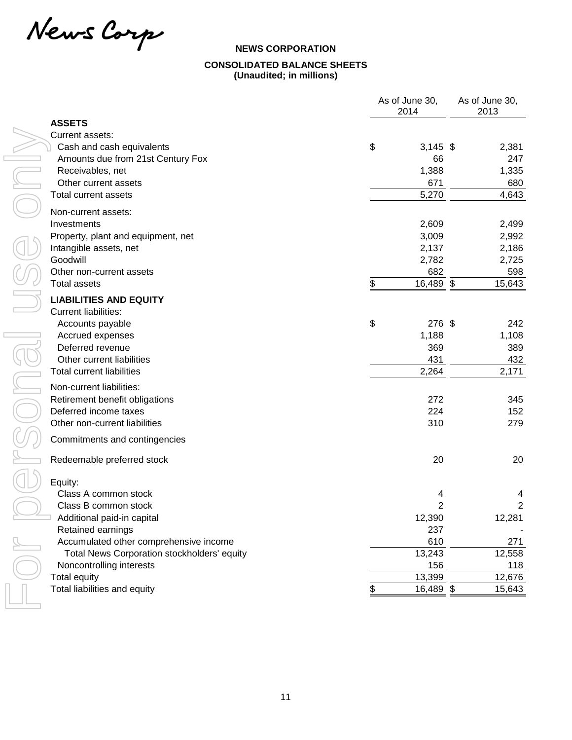News Carp

# **NEWS CORPORATION CONSOLIDATED BALANCE SHEETS (Unaudited; in millions)**

|                                             | As of June 30,<br>2014 | As of June 30,<br>2013 |  |  |
|---------------------------------------------|------------------------|------------------------|--|--|
| <b>ASSETS</b>                               |                        |                        |  |  |
| Current assets:                             |                        |                        |  |  |
| Cash and cash equivalents                   | \$<br>$3,145$ \$       | 2,381                  |  |  |
| Amounts due from 21st Century Fox           | 66                     | 247                    |  |  |
| Receivables, net                            | 1,388                  | 1,335                  |  |  |
| Other current assets                        | 671                    | 680                    |  |  |
| <b>Total current assets</b>                 | 5,270                  | 4,643                  |  |  |
| Non-current assets:                         |                        |                        |  |  |
| Investments                                 | 2,609                  | 2,499                  |  |  |
| Property, plant and equipment, net          | 3,009                  | 2,992                  |  |  |
| Intangible assets, net                      | 2,137                  | 2,186                  |  |  |
| Goodwill                                    | 2,782                  | 2,725                  |  |  |
| Other non-current assets                    | 682                    | 598                    |  |  |
| <b>Total assets</b>                         | \$<br>16,489 \$        | 15,643                 |  |  |
| <b>LIABILITIES AND EQUITY</b>               |                        |                        |  |  |
| <b>Current liabilities:</b>                 |                        |                        |  |  |
| Accounts payable                            | \$<br>276 \$           | 242                    |  |  |
| Accrued expenses                            | 1,188                  | 1,108                  |  |  |
| Deferred revenue                            | 369                    | 389                    |  |  |
| Other current liabilities                   | 431                    | 432                    |  |  |
| <b>Total current liabilities</b>            | 2,264                  | 2,171                  |  |  |
| Non-current liabilities:                    |                        |                        |  |  |
| Retirement benefit obligations              | 272                    | 345                    |  |  |
| Deferred income taxes                       | 224                    | 152                    |  |  |
| Other non-current liabilities               | 310                    | 279                    |  |  |
| Commitments and contingencies               |                        |                        |  |  |
|                                             |                        |                        |  |  |
| Redeemable preferred stock                  | 20                     | 20                     |  |  |
| Equity:                                     |                        |                        |  |  |
| Class A common stock                        | 4                      | 4                      |  |  |
| Class B common stock                        | $\overline{2}$         | $\boldsymbol{2}$       |  |  |
| Additional paid-in capital                  | 12,390                 | 12,281                 |  |  |
| Retained earnings                           | 237                    |                        |  |  |
| Accumulated other comprehensive income      | 610                    | 271                    |  |  |
| Total News Corporation stockholders' equity | 13,243                 | 12,558                 |  |  |
| Noncontrolling interests                    | 156                    | 118                    |  |  |
| <b>Total equity</b>                         | 13,399                 | 12,676                 |  |  |
| Total liabilities and equity                | 16,489 \$              | 15,643                 |  |  |
|                                             |                        |                        |  |  |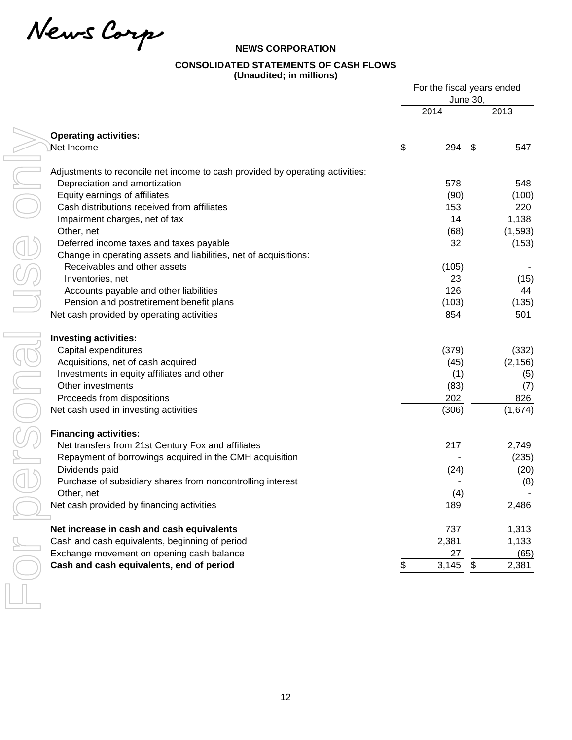News Carp

## **NEWS CORPORATION**

# **CONSOLIDATED STATEMENTS OF CASH FLOWS**

**(Unaudited; in millions)**

|                                                                               |    | For the fiscal years ended |                 |          |
|-------------------------------------------------------------------------------|----|----------------------------|-----------------|----------|
|                                                                               |    | 2014                       | <b>June 30,</b> | 2013     |
|                                                                               |    |                            |                 |          |
| <b>Operating activities:</b>                                                  |    |                            |                 |          |
| Net Income                                                                    | \$ | 294                        | S               | 547      |
| Adjustments to reconcile net income to cash provided by operating activities: |    |                            |                 |          |
| Depreciation and amortization                                                 |    | 578                        |                 | 548      |
| Equity earnings of affiliates                                                 |    | (90)                       |                 | (100)    |
| Cash distributions received from affiliates                                   |    | 153                        |                 | 220      |
| Impairment charges, net of tax                                                |    | 14                         |                 | 1,138    |
| Other, net                                                                    |    | (68)                       |                 | (1,593)  |
| Deferred income taxes and taxes payable                                       |    | 32                         |                 | (153)    |
| Change in operating assets and liabilities, net of acquisitions:              |    |                            |                 |          |
| Receivables and other assets                                                  |    | (105)                      |                 |          |
| Inventories, net                                                              |    | 23                         |                 | (15)     |
| Accounts payable and other liabilities                                        |    | 126                        |                 | 44       |
| Pension and postretirement benefit plans                                      |    | (103)                      |                 | (135)    |
| Net cash provided by operating activities                                     |    | 854                        |                 | 501      |
| <b>Investing activities:</b>                                                  |    |                            |                 |          |
| Capital expenditures                                                          |    | (379)                      |                 | (332)    |
| Acquisitions, net of cash acquired                                            |    | (45)                       |                 | (2, 156) |
| Investments in equity affiliates and other                                    |    | (1)                        |                 | (5)      |
| Other investments                                                             |    | (83)                       |                 | (7)      |
| Proceeds from dispositions                                                    |    | 202                        |                 | 826      |
| Net cash used in investing activities                                         |    | (306)                      |                 | (1,674)  |
| <b>Financing activities:</b>                                                  |    |                            |                 |          |
| Net transfers from 21st Century Fox and affiliates                            |    | 217                        |                 | 2,749    |
| Repayment of borrowings acquired in the CMH acquisition                       |    |                            |                 | (235)    |
| Dividends paid                                                                |    | (24)                       |                 | (20)     |
| Purchase of subsidiary shares from noncontrolling interest                    |    |                            |                 | (8)      |
| Other, net                                                                    |    | (4)                        |                 |          |
| Net cash provided by financing activities                                     |    | 189                        |                 | 2,486    |
| Net increase in cash and cash equivalents                                     |    | 737                        |                 | 1,313    |
| Cash and cash equivalents, beginning of period                                |    | 2,381                      |                 | 1,133    |
| Exchange movement on opening cash balance                                     |    | 27                         |                 | (65)     |
| Cash and cash equivalents, end of period                                      | \$ | 3,145                      | \$              | 2,381    |
|                                                                               |    |                            |                 |          |
|                                                                               |    |                            |                 |          |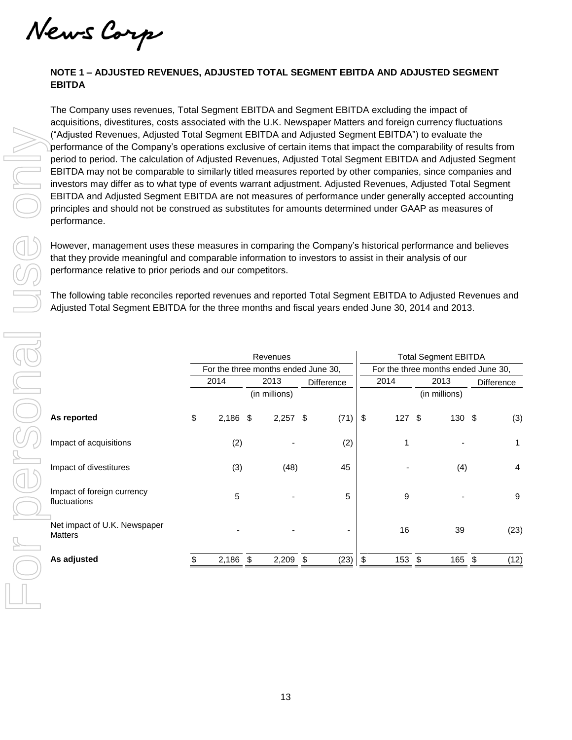News Corp

## **NOTE 1 – ADJUSTED REVENUES, ADJUSTED TOTAL SEGMENT EBITDA AND ADJUSTED SEGMENT EBITDA**

The Company uses revenues, Total Segment EBITDA and Segment EBITDA excluding the impact of acquisitions, divestitures, costs associated with the U.K. Newspaper Matters and foreign currency fluctuations ("Adjusted Revenues, Adjusted Total Segment EBITDA and Adjusted Segment EBITDA") to evaluate the performance of the Company's operations exclusive of certain items that impact the comparability of results from period to period. The calculation of Adjusted Revenues, Adjusted Total Segment EBITDA and Adjusted Segment EBITDA may not be comparable to similarly titled measures reported by other companies, since companies and investors may differ as to what type of events warrant adjustment. Adjusted Revenues, Adjusted Total Segment EBITDA and Adjusted Segment EBITDA are not measures of performance under generally accepted accounting principles and should not be construed as substitutes for amounts determined under GAAP as measures of performance.

| ("Adjusted Revenues, Adjusted Total Segment EBITDA and Adjusted Segment EBITDA") to evaluate the<br>performance of the Company's operations exclusive of certain items that impact the comparability of results from<br>period to period. The calculation of Adjusted Revenues, Adjusted Total Segment EBITDA and Adjusted Segment<br>EBITDA may not be comparable to similarly titled measures reported by other companies, since companies and<br>investors may differ as to what type of events warrant adjustment. Adjusted Revenues, Adjusted Total Segment<br>EBITDA and Adjusted Segment EBITDA are not measures of performance under generally accepted accounting<br>principles and should not be construed as substitutes for amounts determined under GAAP as measures of<br>performance. |    |            |  |               |            |      |                         |          |               |        |  |                  |  |  |
|------------------------------------------------------------------------------------------------------------------------------------------------------------------------------------------------------------------------------------------------------------------------------------------------------------------------------------------------------------------------------------------------------------------------------------------------------------------------------------------------------------------------------------------------------------------------------------------------------------------------------------------------------------------------------------------------------------------------------------------------------------------------------------------------------|----|------------|--|---------------|------------|------|-------------------------|----------|---------------|--------|--|------------------|--|--|
| However, management uses these measures in comparing the Company's historical performance and believes<br>that they provide meaningful and comparable information to investors to assist in their analysis of our<br>performance relative to prior periods and our competitors.                                                                                                                                                                                                                                                                                                                                                                                                                                                                                                                      |    |            |  |               |            |      |                         |          |               |        |  |                  |  |  |
| The following table reconciles reported revenues and reported Total Segment EBITDA to Adjusted Revenues and<br>Adjusted Total Segment EBITDA for the three months and fiscal years ended June 30, 2014 and 2013.                                                                                                                                                                                                                                                                                                                                                                                                                                                                                                                                                                                     |    |            |  |               |            |      |                         |          |               |        |  |                  |  |  |
|                                                                                                                                                                                                                                                                                                                                                                                                                                                                                                                                                                                                                                                                                                                                                                                                      |    |            |  |               |            |      |                         |          |               |        |  |                  |  |  |
| <b>Total Segment EBITDA</b><br>Revenues<br>For the three months ended June 30,<br>For the three months ended June 30,                                                                                                                                                                                                                                                                                                                                                                                                                                                                                                                                                                                                                                                                                |    |            |  |               |            |      |                         |          |               |        |  |                  |  |  |
|                                                                                                                                                                                                                                                                                                                                                                                                                                                                                                                                                                                                                                                                                                                                                                                                      |    |            |  | 2013          |            |      |                         |          | 2013          |        |  |                  |  |  |
|                                                                                                                                                                                                                                                                                                                                                                                                                                                                                                                                                                                                                                                                                                                                                                                                      |    | 2014       |  | (in millions) | Difference |      |                         | 2014     | (in millions) |        |  | Difference       |  |  |
| As reported                                                                                                                                                                                                                                                                                                                                                                                                                                                                                                                                                                                                                                                                                                                                                                                          | \$ | $2,186$ \$ |  | 2,257         | \$         | (71) | $\sqrt[6]{\frac{1}{2}}$ | $127$ \$ |               | 130 \$ |  | (3)              |  |  |
| Impact of acquisitions                                                                                                                                                                                                                                                                                                                                                                                                                                                                                                                                                                                                                                                                                                                                                                               |    | (2)        |  |               |            | (2)  |                         | 1        |               |        |  | 1                |  |  |
| Impact of divestitures                                                                                                                                                                                                                                                                                                                                                                                                                                                                                                                                                                                                                                                                                                                                                                               |    | (3)        |  | (48)          |            | 45   |                         |          |               | (4)    |  | 4                |  |  |
| Impact of foreign currency<br>fluctuations                                                                                                                                                                                                                                                                                                                                                                                                                                                                                                                                                                                                                                                                                                                                                           |    | 5          |  |               |            | 5    |                         | 9        |               |        |  | $\boldsymbol{9}$ |  |  |
| Net impact of U.K. Newspaper<br>Matters                                                                                                                                                                                                                                                                                                                                                                                                                                                                                                                                                                                                                                                                                                                                                              |    |            |  |               |            |      |                         | 16       |               | 39     |  | (23)             |  |  |
| As adjusted                                                                                                                                                                                                                                                                                                                                                                                                                                                                                                                                                                                                                                                                                                                                                                                          | S  | 2,186 \$   |  | $2,209$ \$    |            | (23) | \$                      | 153 \$   |               | 165 \$ |  | (12)             |  |  |
|                                                                                                                                                                                                                                                                                                                                                                                                                                                                                                                                                                                                                                                                                                                                                                                                      |    |            |  |               |            |      |                         |          |               |        |  |                  |  |  |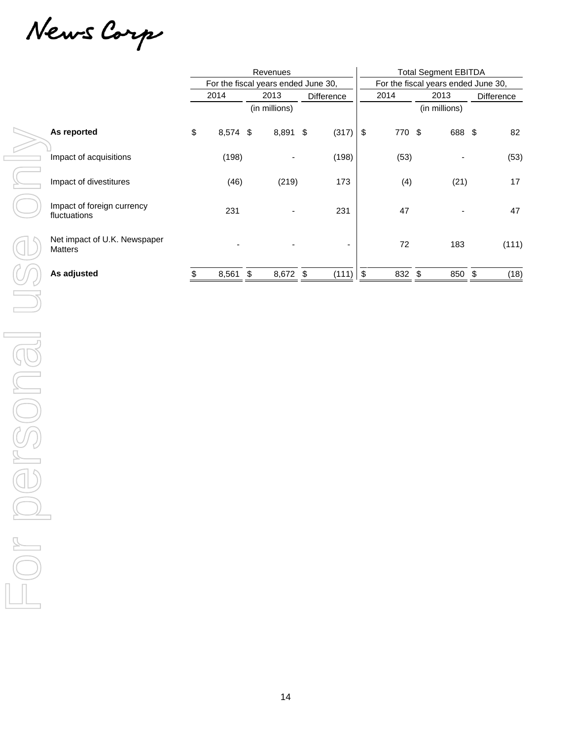News Carp

|                                                                                                                         |                                            | Revenues |                                     |  |               |  |                          | <b>Total Segment EBITDA</b>         |        |      |                   |  |            |  |
|-------------------------------------------------------------------------------------------------------------------------|--------------------------------------------|----------|-------------------------------------|--|---------------|--|--------------------------|-------------------------------------|--------|------|-------------------|--|------------|--|
|                                                                                                                         |                                            |          | For the fiscal years ended June 30, |  |               |  |                          | For the fiscal years ended June 30, |        |      |                   |  |            |  |
|                                                                                                                         |                                            |          | 2014                                |  | 2013          |  | Difference               |                                     | 2014   | 2013 |                   |  | Difference |  |
|                                                                                                                         |                                            |          |                                     |  | (in millions) |  |                          |                                     |        |      | (in millions)     |  |            |  |
|                                                                                                                         | As reported                                | \$       | 8,574 \$                            |  | 8,891 \$      |  | (317)                    | $\,$                                | 770 \$ |      | 688 \$            |  | 82         |  |
|                                                                                                                         | Impact of acquisitions                     |          | (198)                               |  |               |  | (198)                    |                                     | (53)   |      |                   |  | (53)       |  |
|                                                                                                                         | Impact of divestitures                     |          | (46)                                |  | (219)         |  | 173                      |                                     | (4)    |      | (21)              |  | 17         |  |
|                                                                                                                         | Impact of foreign currency<br>fluctuations |          | 231                                 |  |               |  | 231                      |                                     | 47     |      |                   |  | 47         |  |
|                                                                                                                         | Net impact of U.K. Newspaper<br>Matters    |          |                                     |  |               |  | $\overline{\phantom{a}}$ |                                     | $72\,$ |      | 183               |  | (111)      |  |
|                                                                                                                         | As adjusted                                | $\,$     | $8,561$ \$                          |  | 8,672 \$      |  | (111)                    | $\,$                                | 832 \$ |      | $850 \frac{1}{9}$ |  | (18)       |  |
|                                                                                                                         |                                            |          |                                     |  |               |  |                          |                                     |        |      |                   |  |            |  |
|                                                                                                                         |                                            |          |                                     |  |               |  |                          |                                     |        |      |                   |  |            |  |
|                                                                                                                         |                                            |          |                                     |  |               |  |                          |                                     |        |      |                   |  |            |  |
|                                                                                                                         |                                            |          |                                     |  |               |  |                          |                                     |        |      |                   |  |            |  |
|                                                                                                                         |                                            |          |                                     |  |               |  |                          |                                     |        |      |                   |  |            |  |
|                                                                                                                         |                                            |          |                                     |  |               |  |                          |                                     |        |      |                   |  |            |  |
|                                                                                                                         |                                            |          |                                     |  |               |  |                          |                                     |        |      |                   |  |            |  |
| マン                                                                                                                      |                                            |          |                                     |  |               |  |                          |                                     |        |      |                   |  |            |  |
|                                                                                                                         |                                            |          |                                     |  |               |  |                          |                                     |        |      |                   |  |            |  |
| $\begin{array}{c} \hline \raisebox{12pt}{\text{\Large\bf D}} \\ \hline \raisebox{12pt}{\text{\Large\bf D}} \end{array}$ |                                            |          |                                     |  |               |  |                          |                                     |        |      |                   |  |            |  |
|                                                                                                                         |                                            |          |                                     |  |               |  |                          |                                     |        |      |                   |  |            |  |
|                                                                                                                         |                                            |          |                                     |  |               |  |                          |                                     |        |      |                   |  |            |  |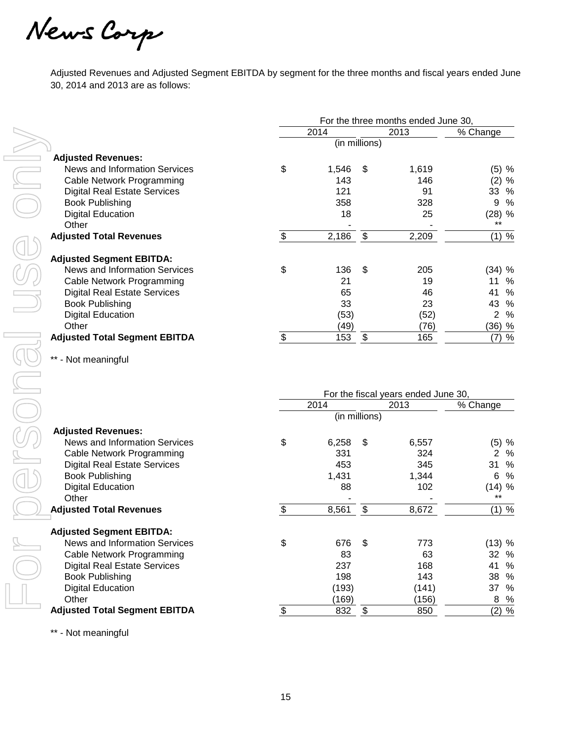News Carp

Adjusted Revenues and Adjusted Segment EBITDA by segment for the three months and fiscal years ended June 30, 2014 and 2013 are as follows:

|                                      | For the three months ended June 30, |       |      |       |                     |  |  |  |  |  |
|--------------------------------------|-------------------------------------|-------|------|-------|---------------------|--|--|--|--|--|
|                                      |                                     | 2014  |      | 2013  | % Change            |  |  |  |  |  |
|                                      |                                     |       |      |       |                     |  |  |  |  |  |
| <b>Adjusted Revenues:</b>            |                                     |       |      |       |                     |  |  |  |  |  |
| News and Information Services        | \$                                  | 1,546 | - \$ | 1.619 | (5) %               |  |  |  |  |  |
| Cable Network Programming            |                                     | 143   |      | 146   | (2)<br>%            |  |  |  |  |  |
| <b>Digital Real Estate Services</b>  |                                     | 121   |      | 91    | 33 %                |  |  |  |  |  |
| <b>Book Publishing</b>               |                                     | 358   |      | 328   | 9<br>$\%$           |  |  |  |  |  |
| <b>Digital Education</b>             |                                     | 18    |      | 25    | (28) %              |  |  |  |  |  |
| Other                                |                                     |       |      |       | $***$               |  |  |  |  |  |
| <b>Adjusted Total Revenues</b>       | \$                                  | 2,186 | \$   | 2,209 | (1) %               |  |  |  |  |  |
|                                      |                                     |       |      |       |                     |  |  |  |  |  |
| <b>Adjusted Segment EBITDA:</b>      |                                     |       |      |       |                     |  |  |  |  |  |
| News and Information Services        | \$                                  | 136   | \$.  | 205   | (34) %              |  |  |  |  |  |
| Cable Network Programming            |                                     | 21    |      | 19    | %<br>11             |  |  |  |  |  |
| <b>Digital Real Estate Services</b>  |                                     | 65    |      | 46    | %<br>41             |  |  |  |  |  |
| <b>Book Publishing</b>               |                                     | 33    |      | 23    | 43<br>%             |  |  |  |  |  |
| <b>Digital Education</b>             |                                     | (53)  |      | (52)  | $\overline{2}$<br>% |  |  |  |  |  |
| Other                                |                                     | (49)  |      | (76)  | (36) %              |  |  |  |  |  |
| <b>Adjusted Total Segment EBITDA</b> | \$                                  | 153   | \$   | 165   | (7) %               |  |  |  |  |  |

\*\* - Not meaningful

|                                      | For the fiscal years ended June 30, |               |     |       |          |  |  |  |  |  |  |  |
|--------------------------------------|-------------------------------------|---------------|-----|-------|----------|--|--|--|--|--|--|--|
|                                      |                                     | 2014          |     | 2013  | % Change |  |  |  |  |  |  |  |
|                                      |                                     | (in millions) |     |       |          |  |  |  |  |  |  |  |
| <b>Adjusted Revenues:</b>            |                                     |               |     |       |          |  |  |  |  |  |  |  |
| News and Information Services        | \$                                  | 6,258         | -\$ | 6,557 | (5) %    |  |  |  |  |  |  |  |
| Cable Network Programming            |                                     | 331           |     | 324   | 2<br>%   |  |  |  |  |  |  |  |
| <b>Digital Real Estate Services</b>  |                                     | 453           |     | 345   | %<br>31  |  |  |  |  |  |  |  |
| <b>Book Publishing</b>               |                                     | 1,431         |     | 1,344 | 6<br>%   |  |  |  |  |  |  |  |
| <b>Digital Education</b>             |                                     | 88            |     | 102   | (14) %   |  |  |  |  |  |  |  |
| Other                                |                                     |               |     |       | $***$    |  |  |  |  |  |  |  |
| <b>Adjusted Total Revenues</b>       | \$                                  | 8,561         | \$  | 8,672 | $(1)$ %  |  |  |  |  |  |  |  |
| <b>Adjusted Segment EBITDA:</b>      |                                     |               |     |       |          |  |  |  |  |  |  |  |
| News and Information Services        | \$                                  | 676           | \$  | 773   | (13) %   |  |  |  |  |  |  |  |
| Cable Network Programming            |                                     | 83            |     | 63    | 32<br>%  |  |  |  |  |  |  |  |
| <b>Digital Real Estate Services</b>  |                                     | 237           |     | 168   | 41<br>%  |  |  |  |  |  |  |  |
| <b>Book Publishing</b>               |                                     | 198           |     | 143   | 38<br>%  |  |  |  |  |  |  |  |
| <b>Digital Education</b>             |                                     | (193)         |     | (141) | 37<br>%  |  |  |  |  |  |  |  |
| Other                                |                                     | (169)         |     | (156) | 8<br>%   |  |  |  |  |  |  |  |
| <b>Adjusted Total Segment EBITDA</b> | \$                                  | 832           | \$  | 850   | (2) %    |  |  |  |  |  |  |  |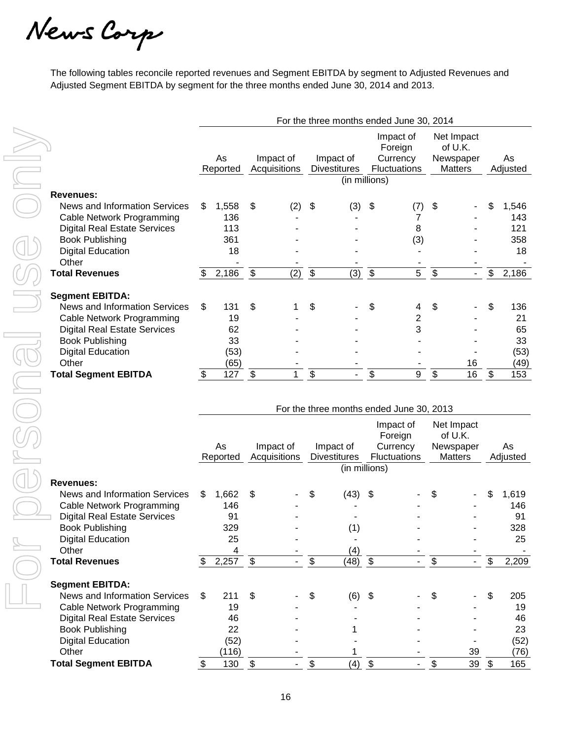News Carp

The following tables reconcile reported revenues and Segment EBITDA by segment to Adjusted Revenues and Adjusted Segment EBITDA by segment for the three months ended June 30, 2014 and 2013.

|                                                                  | For the three months ended June 30, 2014 |                |                              |                           |                           |                                          |                           |                                                         |                           |                                                      |                          |                |
|------------------------------------------------------------------|------------------------------------------|----------------|------------------------------|---------------------------|---------------------------|------------------------------------------|---------------------------|---------------------------------------------------------|---------------------------|------------------------------------------------------|--------------------------|----------------|
|                                                                  |                                          | As<br>Reported |                              | Impact of<br>Acquisitions |                           | Impact of<br><b>Divestitures</b>         |                           | Impact of<br>Foreign<br>Currency<br><b>Fluctuations</b> |                           | Net Impact<br>of U.K.<br>Newspaper<br><b>Matters</b> |                          | As<br>Adjusted |
|                                                                  |                                          |                |                              |                           |                           | (in millions)                            |                           |                                                         |                           |                                                      |                          |                |
| <b>Revenues:</b>                                                 |                                          |                |                              |                           |                           |                                          |                           |                                                         |                           |                                                      |                          |                |
| News and Information Services                                    | \$                                       | 1,558          | \$                           | (2)                       | \$                        | (3)                                      | \$                        | (7)                                                     | \$                        |                                                      | \$                       | 1,546          |
| <b>Cable Network Programming</b>                                 |                                          | 136            |                              |                           |                           |                                          |                           | 7                                                       |                           |                                                      |                          | 143            |
| <b>Digital Real Estate Services</b>                              |                                          | 113            |                              |                           |                           |                                          |                           | 8                                                       |                           |                                                      |                          | 121            |
| <b>Book Publishing</b>                                           |                                          | 361            |                              |                           |                           |                                          |                           | (3)                                                     |                           |                                                      |                          | 358            |
| <b>Digital Education</b>                                         |                                          | 18             |                              |                           |                           |                                          |                           |                                                         |                           |                                                      |                          | 18             |
| Other                                                            |                                          |                |                              |                           |                           |                                          |                           |                                                         |                           |                                                      |                          |                |
| <b>Total Revenues</b>                                            | \$                                       | 2,186          | $\boldsymbol{\hat{\varphi}}$ | (2)                       | $\boldsymbol{\mathsf{S}}$ | (3)                                      | $\boldsymbol{\mathsf{S}}$ | 5                                                       | $\boldsymbol{\$}$         | $\blacksquare$                                       | \$                       | 2,186          |
| <b>Segment EBITDA:</b>                                           |                                          |                |                              |                           |                           |                                          |                           |                                                         |                           |                                                      |                          |                |
| News and Information Services                                    | \$                                       | 131            | \$                           |                           | \$                        |                                          | \$                        | 4                                                       | \$                        |                                                      | \$                       | 136            |
| Cable Network Programming                                        |                                          | 19             |                              |                           |                           |                                          |                           | 2                                                       |                           |                                                      |                          | 21             |
| <b>Digital Real Estate Services</b>                              |                                          | 62             |                              |                           |                           |                                          |                           | 3                                                       |                           |                                                      |                          | 65             |
| <b>Book Publishing</b>                                           |                                          | 33             |                              |                           |                           |                                          |                           |                                                         |                           |                                                      |                          | 33             |
| <b>Digital Education</b>                                         |                                          | (53)           |                              |                           |                           |                                          |                           |                                                         |                           |                                                      |                          | (53)           |
| Other                                                            |                                          | (65)           |                              |                           |                           |                                          |                           |                                                         |                           | 16                                                   |                          | (49)           |
| <b>Total Segment EBITDA</b>                                      | $\boldsymbol{\mathsf{S}}$                | 127            | $\boldsymbol{\mathsf{S}}$    | $\mathbf{1}$              | $\overline{\mathcal{E}}$  |                                          | $\overline{\mathbf{e}}$   | 9                                                       | $\boldsymbol{\mathsf{S}}$ | 16                                                   | $\sqrt[6]{3}$            | 153            |
|                                                                  |                                          |                |                              |                           |                           |                                          |                           |                                                         |                           |                                                      |                          |                |
|                                                                  |                                          |                |                              |                           |                           |                                          |                           |                                                         |                           |                                                      |                          |                |
|                                                                  |                                          |                |                              |                           |                           | For the three months ended June 30, 2013 |                           |                                                         |                           |                                                      |                          |                |
|                                                                  |                                          |                |                              |                           |                           |                                          |                           | Impact of                                               |                           | Net Impact                                           |                          |                |
|                                                                  |                                          |                |                              |                           |                           |                                          |                           | Foreign                                                 |                           | of U.K.                                              |                          |                |
|                                                                  |                                          | As<br>Reported |                              | Impact of<br>Acquisitions |                           | Impact of<br><b>Divestitures</b>         |                           | Currency<br>Fluctuations                                |                           | Newspaper<br><b>Matters</b>                          |                          | As             |
|                                                                  |                                          |                |                              |                           |                           | (in millions)                            |                           |                                                         |                           |                                                      |                          | Adjusted       |
|                                                                  |                                          |                |                              |                           |                           |                                          |                           |                                                         |                           |                                                      |                          |                |
| <b>Revenues:</b>                                                 |                                          |                |                              |                           |                           |                                          |                           |                                                         |                           |                                                      |                          |                |
| News and Information Services                                    | \$                                       | 1,662          | \$                           |                           | \$                        | (43)                                     | \$                        |                                                         | \$                        |                                                      | \$                       | 1,619          |
| Cable Network Programming<br><b>Digital Real Estate Services</b> |                                          | 146<br>91      |                              |                           |                           |                                          |                           |                                                         |                           |                                                      |                          | 146<br>91      |
| <b>Book Publishing</b>                                           |                                          | 329            |                              |                           |                           | (1)                                      |                           |                                                         |                           |                                                      |                          | 328            |
| <b>Digital Education</b>                                         |                                          | 25             |                              |                           |                           |                                          |                           |                                                         |                           |                                                      |                          | 25             |
| Other                                                            |                                          | 4              |                              |                           |                           | (4)                                      |                           |                                                         |                           |                                                      |                          |                |
| <b>Total Revenues</b>                                            | \$                                       | $2,257$ \$     |                              |                           | $\overline{\mathfrak{s}}$ | $\overline{(48)}$ \$                     |                           |                                                         | \$                        |                                                      | $\overline{\mathcal{S}}$ | 2,209          |
|                                                                  |                                          |                |                              |                           |                           |                                          |                           |                                                         |                           |                                                      |                          |                |
| <b>Segment EBITDA:</b>                                           |                                          |                |                              |                           |                           |                                          |                           |                                                         |                           |                                                      |                          |                |
| News and Information Services                                    | \$                                       | 211            | \$                           |                           | \$                        | (6)                                      | \$                        |                                                         |                           |                                                      |                          | 205            |
| Cable Network Programming                                        |                                          | 19             |                              |                           |                           |                                          |                           |                                                         |                           |                                                      |                          | 19             |
| <b>Digital Real Estate Services</b>                              |                                          | 46             |                              |                           |                           |                                          |                           |                                                         |                           |                                                      |                          | 46             |
| <b>Book Publishing</b>                                           |                                          | 22             |                              |                           |                           |                                          |                           |                                                         |                           |                                                      |                          | 23             |
| <b>Digital Education</b>                                         |                                          | (52)           |                              |                           |                           |                                          |                           |                                                         |                           |                                                      |                          | (52)           |
| Other<br><b>Total Segment EBITDA</b>                             |                                          | (116)          |                              |                           |                           |                                          |                           |                                                         |                           | 39                                                   |                          | (76)           |
|                                                                  | \$                                       | 130            | $\sqrt[6]{3}$                |                           | \$                        | (4)                                      | $\sqrt[6]{3}$             |                                                         | \$                        | 39 $$$                                               |                          | 165            |

|                                     |    |                |                           |  | For the three months ended June 30, 2013 |                           |                                                         |    |                                                      |    |                |
|-------------------------------------|----|----------------|---------------------------|--|------------------------------------------|---------------------------|---------------------------------------------------------|----|------------------------------------------------------|----|----------------|
|                                     |    | As<br>Reported | Impact of<br>Acquisitions |  | Impact of<br><b>Divestitures</b>         |                           | Impact of<br>Foreign<br>Currency<br><b>Fluctuations</b> |    | Net Impact<br>of U.K.<br>Newspaper<br><b>Matters</b> |    | As<br>Adjusted |
|                                     |    |                |                           |  |                                          | (in millions)             |                                                         |    |                                                      |    |                |
| Revenues:                           |    |                |                           |  |                                          |                           |                                                         |    |                                                      |    |                |
| News and Information Services       | \$ | 1,662          | \$                        |  | \$<br>(43)                               | - \$                      |                                                         | S  |                                                      | \$ | 1,619          |
| <b>Cable Network Programming</b>    |    | 146            |                           |  |                                          |                           |                                                         |    |                                                      |    | 146            |
| <b>Digital Real Estate Services</b> |    | 91             |                           |  |                                          |                           |                                                         |    |                                                      |    | 91             |
| <b>Book Publishing</b>              |    | 329            |                           |  | (1)                                      |                           |                                                         |    |                                                      |    | 328            |
| <b>Digital Education</b>            |    | 25             |                           |  |                                          |                           |                                                         |    |                                                      |    | 25             |
| Other                               |    | 4              |                           |  | (4)                                      |                           |                                                         |    |                                                      |    |                |
| <b>Total Revenues</b>               | S. | 2,257          | \$                        |  | \$<br>(48)                               | $\boldsymbol{\mathsf{S}}$ | ۰.                                                      | \$ |                                                      | \$ | 2,209          |
| <b>Segment EBITDA:</b>              |    |                |                           |  |                                          |                           |                                                         |    |                                                      |    |                |
| News and Information Services       | \$ | 211            | \$                        |  | \$<br>(6)                                | \$                        |                                                         | \$ |                                                      | \$ | 205            |
| Cable Network Programming           |    | 19             |                           |  |                                          |                           |                                                         |    |                                                      |    | 19             |
| <b>Digital Real Estate Services</b> |    | 46             |                           |  |                                          |                           |                                                         |    |                                                      |    | 46             |
| <b>Book Publishing</b>              |    | 22             |                           |  |                                          |                           |                                                         |    |                                                      |    | 23             |
| <b>Digital Education</b>            |    | (52)           |                           |  |                                          |                           |                                                         |    |                                                      |    | (52)           |
| Other                               |    | (116)          |                           |  |                                          |                           |                                                         |    | 39                                                   |    | (76)           |
| <b>Total Segment EBITDA</b>         |    | 130            | \$                        |  | \$<br>(4)                                | \$                        |                                                         | \$ | 39                                                   | \$ | 165            |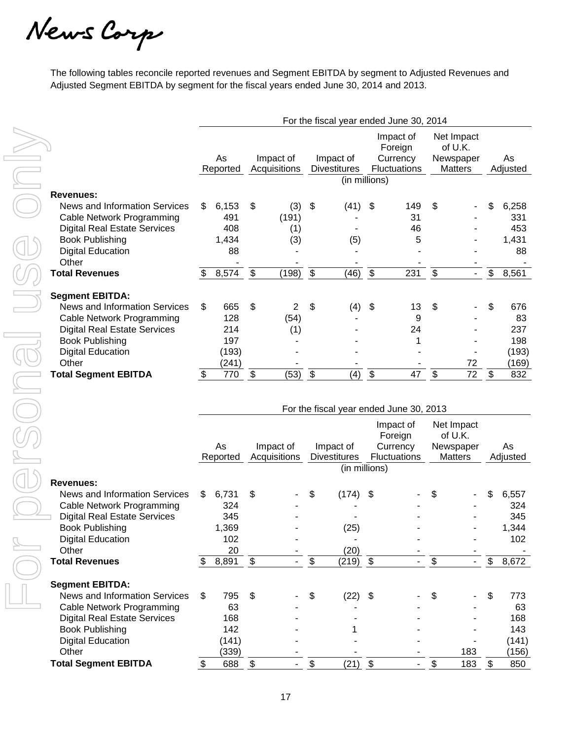News Carp

The following tables reconcile reported revenues and Segment EBITDA by segment to Adjusted Revenues and Adjusted Segment EBITDA by segment for the fiscal years ended June 30, 2014 and 2013.

|                                                               | For the fiscal year ended June 30, 2014 |            |                           |              |                           |                                         |                           |                                  |                           |                                    |                           |              |
|---------------------------------------------------------------|-----------------------------------------|------------|---------------------------|--------------|---------------------------|-----------------------------------------|---------------------------|----------------------------------|---------------------------|------------------------------------|---------------------------|--------------|
|                                                               |                                         | As         |                           | Impact of    |                           | Impact of                               |                           | Impact of<br>Foreign<br>Currency |                           | Net Impact<br>of U.K.<br>Newspaper |                           | As           |
|                                                               |                                         | Reported   |                           | Acquisitions |                           | <b>Divestitures</b>                     |                           | Fluctuations                     |                           | <b>Matters</b>                     |                           | Adjusted     |
|                                                               |                                         |            |                           |              |                           | (in millions)                           |                           |                                  |                           |                                    |                           |              |
| <b>Revenues:</b>                                              |                                         |            |                           |              |                           |                                         |                           |                                  |                           |                                    |                           |              |
| News and Information Services                                 | \$                                      | 6,153      | \$                        | (3)          | \$                        | (41)                                    | \$                        | 149                              | \$                        |                                    | \$                        | 6,258        |
| Cable Network Programming                                     |                                         | 491<br>408 |                           | (191)        |                           |                                         |                           | 31                               |                           |                                    |                           | 331          |
| <b>Digital Real Estate Services</b><br><b>Book Publishing</b> |                                         | 1,434      |                           | (1)          |                           |                                         |                           | 46<br>5                          |                           |                                    |                           | 453<br>1,431 |
| <b>Digital Education</b>                                      |                                         | 88         |                           | (3)          |                           | (5)                                     |                           |                                  |                           |                                    |                           | 88           |
| Other                                                         |                                         |            |                           |              |                           |                                         |                           |                                  |                           |                                    |                           |              |
| <b>Total Revenues</b>                                         | \$                                      | 8,574      | $\boldsymbol{\mathsf{S}}$ | (198)        | $\boldsymbol{\mathsf{S}}$ | (46)                                    | $\boldsymbol{\mathsf{S}}$ | 231                              | $\boldsymbol{\mathsf{S}}$ | $\sim$                             | \$                        | 8,561        |
|                                                               |                                         |            |                           |              |                           |                                         |                           |                                  |                           |                                    |                           |              |
| <b>Segment EBITDA:</b>                                        |                                         |            |                           |              |                           |                                         |                           |                                  |                           |                                    |                           |              |
| News and Information Services                                 | \$                                      | 665        | \$                        | 2            | \$                        | (4)                                     | \$                        | 13                               | \$                        |                                    | \$                        | 676          |
| Cable Network Programming                                     |                                         | 128        |                           | (54)         |                           |                                         |                           | 9                                |                           |                                    |                           | 83           |
| <b>Digital Real Estate Services</b>                           |                                         | 214        |                           | (1)          |                           |                                         |                           | 24                               |                           |                                    |                           | 237          |
| <b>Book Publishing</b>                                        |                                         | 197        |                           |              |                           |                                         |                           | 1                                |                           |                                    |                           | 198          |
| <b>Digital Education</b>                                      |                                         | (193)      |                           |              |                           |                                         |                           |                                  |                           |                                    |                           | (193)        |
| Other                                                         |                                         | (241)      |                           |              |                           |                                         |                           |                                  |                           | 72                                 |                           | (169)        |
| <b>Total Segment EBITDA</b>                                   | $\boldsymbol{\mathsf{\$}}$              | 770        | $\boldsymbol{\mathsf{S}}$ | (53)         | $\boldsymbol{\mathsf{S}}$ | (4)                                     | $\boldsymbol{\mathsf{S}}$ | 47                               | \$                        | $\overline{72}$                    | $\boldsymbol{\mathsf{S}}$ | 832          |
|                                                               |                                         |            |                           |              |                           |                                         |                           |                                  |                           |                                    |                           |              |
|                                                               |                                         |            |                           |              |                           | For the fiscal year ended June 30, 2013 |                           |                                  |                           |                                    |                           |              |
|                                                               |                                         |            |                           |              |                           |                                         |                           |                                  |                           |                                    |                           |              |
|                                                               |                                         |            |                           |              |                           |                                         |                           | Impact of<br>Foreign             |                           | Net Impact<br>of U.K.              |                           |              |
|                                                               |                                         | As         | Impact of                 |              | Impact of                 |                                         | Currency                  |                                  |                           | Newspaper                          |                           | As           |
|                                                               |                                         | Reported   | Acquisitions              |              |                           | <b>Divestitures</b>                     |                           | <b>Fluctuations</b>              |                           | <b>Matters</b>                     |                           | Adjusted     |
|                                                               |                                         |            |                           |              |                           | (in millions)                           |                           |                                  |                           |                                    |                           |              |
| <b>Revenues:</b>                                              |                                         |            |                           |              |                           |                                         |                           |                                  |                           |                                    |                           |              |
| News and Information Services                                 | \$                                      | 6,731      | \$                        |              | \$                        | (174)                                   | \$                        |                                  | \$                        |                                    | \$                        | 6,557        |
| Cable Network Programming                                     |                                         | 324        |                           |              |                           |                                         |                           |                                  |                           |                                    |                           | 324          |
| <b>Digital Real Estate Services</b>                           |                                         | 345        |                           |              |                           |                                         |                           |                                  |                           |                                    |                           | 345          |
| <b>Book Publishing</b>                                        |                                         | 1,369      |                           |              |                           | (25)                                    |                           |                                  |                           |                                    |                           | 1,344        |
| <b>Digital Education</b>                                      |                                         | 102        |                           |              |                           |                                         |                           |                                  |                           |                                    |                           | 102          |
| Other                                                         |                                         | 20         |                           |              |                           | (20)                                    |                           |                                  |                           |                                    |                           |              |
| <b>Total Revenues</b>                                         | \$                                      | 8,891      | \$                        |              | $\overline{\$}$           | $\sqrt{(219)}$ \$                       |                           |                                  | $\overline{\$}$           |                                    | $\frac{1}{2}$             | 8,672        |
| <b>Segment EBITDA:</b>                                        |                                         |            |                           |              |                           |                                         |                           |                                  |                           |                                    |                           |              |
| News and Information Services                                 | \$                                      | 795        | \$                        |              | \$                        | (22)                                    | \$                        |                                  |                           |                                    | S                         | 773          |
| Cable Network Programming                                     |                                         | 63         |                           |              |                           |                                         |                           |                                  |                           |                                    |                           | 63           |
| <b>Digital Real Estate Services</b>                           |                                         | 168        |                           |              |                           |                                         |                           |                                  |                           |                                    |                           | 168          |
| <b>Book Publishing</b>                                        |                                         | 142        |                           |              |                           |                                         |                           |                                  |                           |                                    |                           | 143          |
| <b>Digital Education</b>                                      |                                         | (141)      |                           |              |                           |                                         |                           |                                  |                           |                                    |                           | (141)        |
| Other<br><b>Total Segment EBITDA</b>                          |                                         | (339)      |                           |              |                           | (21)                                    | $\sqrt{3}$                |                                  |                           | 183<br>183                         |                           | (156)<br>850 |
|                                                               | \$                                      | 688        | \$                        |              | \$                        |                                         |                           |                                  | \$                        |                                    | \$                        |              |

|                                     | For the fiscal year ended June 30, 2013 |       |                           |  |                                  |               |                                                         |  |                                                      |     |    |                |  |
|-------------------------------------|-----------------------------------------|-------|---------------------------|--|----------------------------------|---------------|---------------------------------------------------------|--|------------------------------------------------------|-----|----|----------------|--|
|                                     |                                         | As    | Impact of<br>Acquisitions |  | Impact of<br><b>Divestitures</b> |               | Impact of<br>Foreign<br>Currency<br><b>Fluctuations</b> |  | Net Impact<br>of U.K.<br>Newspaper<br><b>Matters</b> |     |    | As<br>Adjusted |  |
|                                     | Reported                                |       |                           |  |                                  | (in millions) |                                                         |  |                                                      |     |    |                |  |
| <b>Revenues:</b>                    |                                         |       |                           |  |                                  |               |                                                         |  |                                                      |     |    |                |  |
| News and Information Services       | \$                                      | 6,731 | \$                        |  | \$                               | (174)         | -\$                                                     |  | S                                                    |     | \$ | 6,557          |  |
| Cable Network Programming           |                                         | 324   |                           |  |                                  |               |                                                         |  |                                                      |     |    | 324            |  |
| <b>Digital Real Estate Services</b> |                                         | 345   |                           |  |                                  |               |                                                         |  |                                                      |     |    | 345            |  |
| <b>Book Publishing</b>              |                                         | 1,369 |                           |  |                                  | (25)          |                                                         |  |                                                      |     |    | 1,344          |  |
| <b>Digital Education</b>            |                                         | 102   |                           |  |                                  |               |                                                         |  |                                                      |     |    | 102            |  |
| Other                               |                                         | 20    |                           |  |                                  | (20)          |                                                         |  |                                                      |     |    |                |  |
| <b>Total Revenues</b>               | \$.                                     | 8,891 | \$                        |  | \$                               | (219)         | $\mathfrak{s}$                                          |  | $\$\$                                                | ۰.  | \$ | 8,672          |  |
| <b>Segment EBITDA:</b>              |                                         |       |                           |  |                                  |               |                                                         |  |                                                      |     |    |                |  |
| News and Information Services       | \$                                      | 795   | \$                        |  | \$                               | $(22)$ \$     |                                                         |  | S                                                    |     | \$ | 773            |  |
| Cable Network Programming           |                                         | 63    |                           |  |                                  |               |                                                         |  |                                                      |     |    | 63             |  |
| <b>Digital Real Estate Services</b> |                                         | 168   |                           |  |                                  |               |                                                         |  |                                                      |     |    | 168            |  |
| <b>Book Publishing</b>              |                                         | 142   |                           |  |                                  |               |                                                         |  |                                                      |     |    | 143            |  |
| <b>Digital Education</b>            |                                         | (141) |                           |  |                                  |               |                                                         |  |                                                      |     |    | (141)          |  |
| Other                               |                                         | (339) |                           |  |                                  |               |                                                         |  |                                                      | 183 |    | (156)          |  |
| <b>Total Segment EBITDA</b>         |                                         | 688   | \$                        |  | \$                               | (21)          | \$                                                      |  | \$                                                   | 183 | \$ | 850            |  |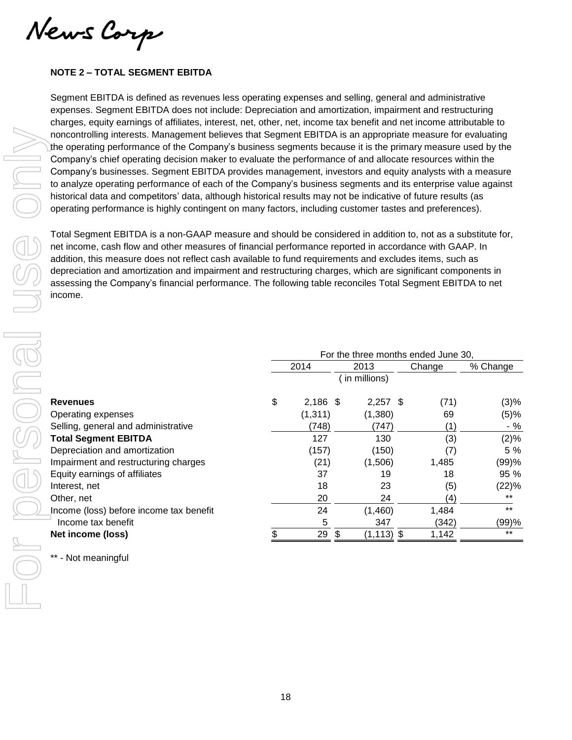News Corp

## **NOTE 2 – TOTAL SEGMENT EBITDA**

Segment EBITDA is defined as revenues less operating expenses and selling, general and administrative expenses. Segment EBITDA does not include: Depreciation and amortization, impairment and restructuring charges, equity earnings of affiliates, interest, net, other, net, income tax benefit and net income attributable to noncontrolling interests. Management believes that Segment EBITDA is an appropriate measure for evaluating the operating performance of the Company's business segments because it is the primary measure used by the Company's chief operating decision maker to evaluate the performance of and allocate resources within the Company's businesses. Segment EBITDA provides management, investors and equity analysts with a measure to analyze operating performance of each of the Company's business segments and its enterprise value against historical data and competitors' data, although historical results may not be indicative of future results (as operating performance is highly contingent on many factors, including customer tastes and preferences).

Total Segment EBITDA is a non-GAAP measure and should be considered in addition to, not as a substitute for, net income, cash flow and other measures of financial performance reported in accordance with GAAP. In addition, this measure does not reflect cash available to fund requirements and excludes items, such as depreciation and amortization and impairment and restructuring charges, which are significant components in assessing the Company's financial performance. The following table reconciles Total Segment EBITDA to net income.

|                                         |    | For the three months ended June 30, |                     |        |          |
|-----------------------------------------|----|-------------------------------------|---------------------|--------|----------|
|                                         |    | 2014                                | 2013                | Change | % Change |
|                                         |    |                                     | in millions)        |        |          |
| <b>Revenues</b>                         | \$ | $2,186$ \$                          | $2,257$ \$          | (71)   | (3)%     |
| Operating expenses                      |    | (1, 311)                            | (1,380)             | 69     | (5)%     |
| Selling, general and administrative     |    | (748)                               | (747)               | (1)    | $-$ %    |
| <b>Total Segment EBITDA</b>             |    | 127                                 | 130                 | (3)    | (2)%     |
| Depreciation and amortization           |    | (157)                               | (150)               | (7)    | 5 %      |
| Impairment and restructuring charges    |    | (21)                                | (1,506)             | 1,485  | (99)%    |
| Equity earnings of affiliates           |    | 37                                  | 19                  | 18     | 95 %     |
| Interest, net                           |    | 18                                  | 23                  | (5)    | (22)%    |
| Other, net                              |    | 20                                  | 24                  | (4)    | $***$    |
| Income (loss) before income tax benefit |    | 24                                  | (1,460)             | 1,484  | $***$    |
| Income tax benefit                      |    | 5                                   | 347                 | (342)  | (99)%    |
| Net income (loss)                       |    | 29                                  | \$<br>$(1, 113)$ \$ | 1,142  | $***$    |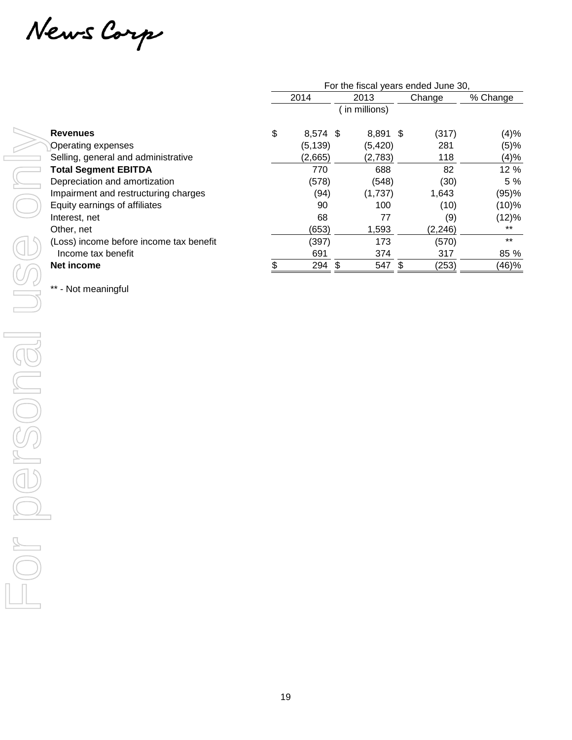News Carp

|                                         | For the fiscal years ended June 30, |    |              |  |          |          |  |  |  |
|-----------------------------------------|-------------------------------------|----|--------------|--|----------|----------|--|--|--|
|                                         | 2014                                |    | 2013         |  | Change   | % Change |  |  |  |
|                                         |                                     |    | in millions) |  |          |          |  |  |  |
| <b>Revenues</b>                         | \$<br>$8.574$ \$                    |    | 8,891 \$     |  | (317)    | (4)%     |  |  |  |
| Operating expenses                      | (5, 139)                            |    | (5, 420)     |  | 281      | (5)%     |  |  |  |
| Selling, general and administrative     | (2,665)                             |    | (2,783)      |  | 118      | (4)%     |  |  |  |
| <b>Total Segment EBITDA</b>             | 770                                 |    | 688          |  | 82       | 12 %     |  |  |  |
| Depreciation and amortization           | (578)                               |    | (548)        |  | (30)     | 5 %      |  |  |  |
| Impairment and restructuring charges    | (94)                                |    | (1,737)      |  | 1,643    | (95)%    |  |  |  |
| Equity earnings of affiliates           | 90                                  |    | 100          |  | (10)     | (10)%    |  |  |  |
| Interest, net                           | 68                                  |    | 77           |  | (9)      | (12)%    |  |  |  |
| Other, net                              | (653)                               |    | 1,593        |  | (2, 246) | $***$    |  |  |  |
| (Loss) income before income tax benefit | (397)                               |    | 173          |  | (570)    | $***$    |  |  |  |
| Income tax benefit                      | 691                                 |    | 374          |  | 317      | 85 %     |  |  |  |
| Net income                              | 294                                 | \$ | 547          |  | (253)    | (46)%    |  |  |  |
|                                         |                                     |    |              |  |          |          |  |  |  |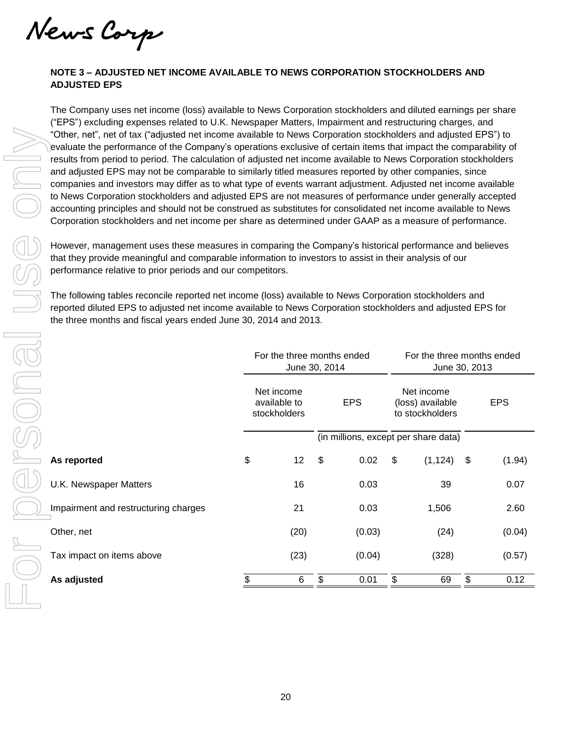News Corp

## **NOTE 3 – ADJUSTED NET INCOME AVAILABLE TO NEWS CORPORATION STOCKHOLDERS AND ADJUSTED EPS**

The Company uses net income (loss) available to News Corporation stockholders and diluted earnings per share ("EPS") excluding expenses related to U.K. Newspaper Matters, Impairment and restructuring charges, and "Other, net", net of tax ("adjusted net income available to News Corporation stockholders and adjusted EPS") to evaluate the performance of the Company's operations exclusive of certain items that impact the comparability of results from period to period. The calculation of adjusted net income available to News Corporation stockholders and adjusted EPS may not be comparable to similarly titled measures reported by other companies, since companies and investors may differ as to what type of events warrant adjustment. Adjusted net income available to News Corporation stockholders and adjusted EPS are not measures of performance under generally accepted accounting principles and should not be construed as substitutes for consolidated net income available to News Corporation stockholders and net income per share as determined under GAAP as a measure of performance.

| "Other, net", net of tax ("adjusted net income available to News Corporation stockholders and adjusted EPS") to<br>evaluate the performance of the Company's operations exclusive of certain items that impact the comparability of<br>results from period to period. The calculation of adjusted net income available to News Corporation stockholders<br>and adjusted EPS may not be comparable to similarly titled measures reported by other companies, since<br>companies and investors may differ as to what type of events warrant adjustment. Adjusted net income available<br>to News Corporation stockholders and adjusted EPS are not measures of performance under generally accepted<br>accounting principles and should not be construed as substitutes for consolidated net income available to News<br>Corporation stockholders and net income per share as determined under GAAP as a measure of performance.<br>However, management uses these measures in comparing the Company's historical performance and believes<br>that they provide meaningful and comparable information to investors to assist in their analysis of our<br>performance relative to prior periods and our competitors.<br>The following tables reconcile reported net income (loss) available to News Corporation stockholders and<br>reported diluted EPS to adjusted net income available to News Corporation stockholders and adjusted EPS for<br>the three months and fiscal years ended June 30, 2014 and 2013. |                                                                                            |                                            |    |                                      |                                                   |          |            |        |  |
|-----------------------------------------------------------------------------------------------------------------------------------------------------------------------------------------------------------------------------------------------------------------------------------------------------------------------------------------------------------------------------------------------------------------------------------------------------------------------------------------------------------------------------------------------------------------------------------------------------------------------------------------------------------------------------------------------------------------------------------------------------------------------------------------------------------------------------------------------------------------------------------------------------------------------------------------------------------------------------------------------------------------------------------------------------------------------------------------------------------------------------------------------------------------------------------------------------------------------------------------------------------------------------------------------------------------------------------------------------------------------------------------------------------------------------------------------------------------------------------------------------------------|--------------------------------------------------------------------------------------------|--------------------------------------------|----|--------------------------------------|---------------------------------------------------|----------|------------|--------|--|
|                                                                                                                                                                                                                                                                                                                                                                                                                                                                                                                                                                                                                                                                                                                                                                                                                                                                                                                                                                                                                                                                                                                                                                                                                                                                                                                                                                                                                                                                                                                 | For the three months ended<br>For the three months ended<br>June 30, 2014<br>June 30, 2013 |                                            |    |                                      |                                                   |          |            |        |  |
|                                                                                                                                                                                                                                                                                                                                                                                                                                                                                                                                                                                                                                                                                                                                                                                                                                                                                                                                                                                                                                                                                                                                                                                                                                                                                                                                                                                                                                                                                                                 |                                                                                            | Net income<br>available to<br>stockholders |    | <b>EPS</b>                           | Net income<br>(loss) available<br>to stockholders |          | <b>EPS</b> |        |  |
|                                                                                                                                                                                                                                                                                                                                                                                                                                                                                                                                                                                                                                                                                                                                                                                                                                                                                                                                                                                                                                                                                                                                                                                                                                                                                                                                                                                                                                                                                                                 |                                                                                            |                                            |    | (in millions, except per share data) |                                                   |          |            |        |  |
| As reported                                                                                                                                                                                                                                                                                                                                                                                                                                                                                                                                                                                                                                                                                                                                                                                                                                                                                                                                                                                                                                                                                                                                                                                                                                                                                                                                                                                                                                                                                                     | \$                                                                                         | 12                                         | \$ | 0.02                                 | \$                                                | (1, 124) | \$         | (1.94) |  |
| U.K. Newspaper Matters                                                                                                                                                                                                                                                                                                                                                                                                                                                                                                                                                                                                                                                                                                                                                                                                                                                                                                                                                                                                                                                                                                                                                                                                                                                                                                                                                                                                                                                                                          |                                                                                            | 16                                         |    | 0.03                                 |                                                   | 39       |            | 0.07   |  |
| Impairment and restructuring charges                                                                                                                                                                                                                                                                                                                                                                                                                                                                                                                                                                                                                                                                                                                                                                                                                                                                                                                                                                                                                                                                                                                                                                                                                                                                                                                                                                                                                                                                            |                                                                                            | 21                                         |    | 0.03                                 |                                                   | 1,506    |            | 2.60   |  |
| Other, net                                                                                                                                                                                                                                                                                                                                                                                                                                                                                                                                                                                                                                                                                                                                                                                                                                                                                                                                                                                                                                                                                                                                                                                                                                                                                                                                                                                                                                                                                                      |                                                                                            | (20)                                       |    | (0.03)                               |                                                   | (24)     |            | (0.04) |  |
| Tax impact on items above                                                                                                                                                                                                                                                                                                                                                                                                                                                                                                                                                                                                                                                                                                                                                                                                                                                                                                                                                                                                                                                                                                                                                                                                                                                                                                                                                                                                                                                                                       |                                                                                            | (23)                                       |    | (0.04)                               |                                                   | (328)    |            | (0.57) |  |
| As adjusted                                                                                                                                                                                                                                                                                                                                                                                                                                                                                                                                                                                                                                                                                                                                                                                                                                                                                                                                                                                                                                                                                                                                                                                                                                                                                                                                                                                                                                                                                                     | \$                                                                                         | 6                                          | \$ | 0.01                                 | \$                                                | 69       | \$         | 0.12   |  |
|                                                                                                                                                                                                                                                                                                                                                                                                                                                                                                                                                                                                                                                                                                                                                                                                                                                                                                                                                                                                                                                                                                                                                                                                                                                                                                                                                                                                                                                                                                                 |                                                                                            |                                            |    |                                      |                                                   |          |            |        |  |